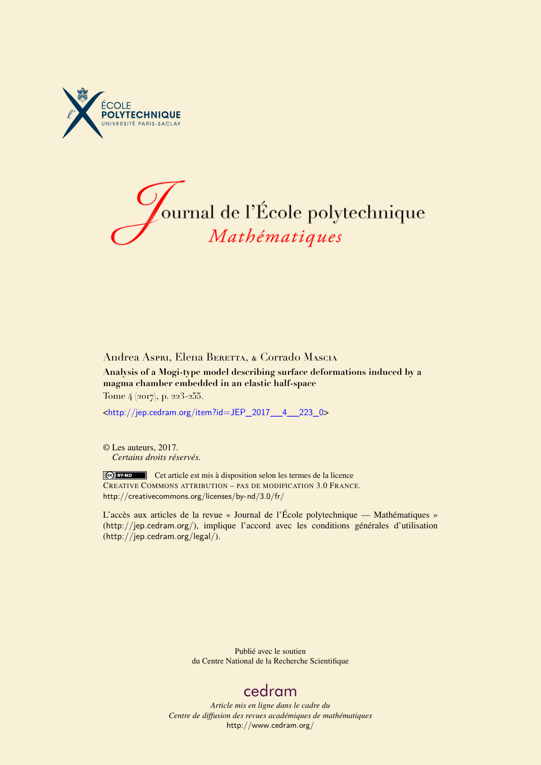



## Andrea Aspri, Elena Beretta, & Corrado Mascia **Analysis of a Mogi-type model describing surface deformations induced by a**

**magma chamber embedded in an elastic half-space** Tome 4 (2017), p. 223-255.

<[http://jep.cedram.org/item?id=JEP\\_2017\\_\\_4\\_\\_223\\_0](http://jep.cedram.org/item?id=JEP_2017__4__223_0)>

© Les auteurs, 2017. *Certains droits réservés.*

Ce) BY-ND Cet article est mis à disposition selon les termes de la licence CREATIVE COMMONS ATTRIBUTION – PAS DE MODIFICATION 3.0 FRANCE. <http://creativecommons.org/licenses/by-nd/3.0/fr/>

L'accès aux articles de la revue « Journal de l'École polytechnique — Mathématiques » (<http://jep.cedram.org/>), implique l'accord avec les conditions générales d'utilisation (<http://jep.cedram.org/legal/>).

> Publié avec le soutien du Centre National de la Recherche Scientifique

## [cedram](http://www.cedram.org/)

*Article mis en ligne dans le cadre du Centre de diffusion des revues académiques de mathématiques* <http://www.cedram.org/>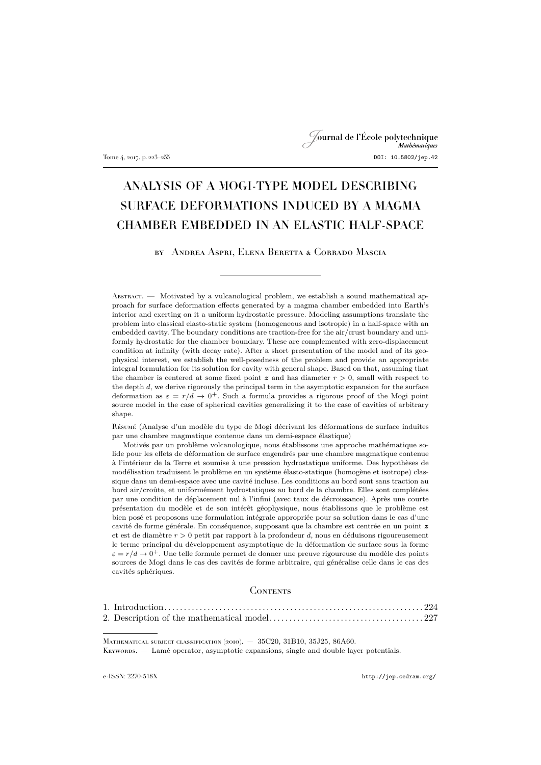## Journal de l'École polytechnique Tome 4, 2017, p. 223–255 DOI: 10.5802/jep.42

# ANALYSIS OF A MOGI-TYPE MODEL DESCRIBING SURFACE DEFORMATIONS INDUCED BY A MAGMA CHAMBER EMBEDDED IN AN ELASTIC HALF-SPACE

by Andrea Aspri, Elena Beretta & Corrado Mascia

Abstract. — Motivated by a vulcanological problem, we establish a sound mathematical approach for surface deformation effects generated by a magma chamber embedded into Earth's interior and exerting on it a uniform hydrostatic pressure. Modeling assumptions translate the problem into classical elasto-static system (homogeneous and isotropic) in a half-space with an embedded cavity. The boundary conditions are traction-free for the air/crust boundary and uniformly hydrostatic for the chamber boundary. These are complemented with zero-displacement condition at infinity (with decay rate). After a short presentation of the model and of its geophysical interest, we establish the well-posedness of the problem and provide an appropriate integral formulation for its solution for cavity with general shape. Based on that, assuming that the chamber is centered at some fixed point  $\boldsymbol{z}$  and has diameter  $r > 0$ , small with respect to the depth  $d$ , we derive rigorously the principal term in the asymptotic expansion for the surface deformation as  $\varepsilon = r/d \rightarrow 0^+$ . Such a formula provides a rigorous proof of the Mogi point source model in the case of spherical cavities generalizing it to the case of cavities of arbitrary shape.

Résumé (Analyse d'un modèle du type de Mogi décrivant les déformations de surface induites par une chambre magmatique contenue dans un demi-espace élastique)

Motivés par un problème volcanologique, nous établissons une approche mathématique solide pour les effets de déformation de surface engendrés par une chambre magmatique contenue à l'intérieur de la Terre et soumise à une pression hydrostatique uniforme. Des hypothèses de modélisation traduisent le problème en un système élasto-statique (homogène et isotrope) classique dans un demi-espace avec une cavité incluse. Les conditions au bord sont sans traction au bord air/croûte, et uniformément hydrostatiques au bord de la chambre. Elles sont complétées par une condition de déplacement nul à l'infini (avec taux de décroissance). Après une courte présentation du modèle et de son intérêt géophysique, nous établissons que le problème est bien posé et proposons une formulation intégrale appropriée pour sa solution dans le cas d'une cavité de forme générale. En conséquence, supposant que la chambre est centrée en un point  $\boldsymbol{z}$ et est de diamètre  $r > 0$  petit par rapport à la profondeur d, nous en déduisons rigoureusement le terme principal du développement asymptotique de la déformation de surface sous la forme  $\varepsilon = r/d \rightarrow 0^+$ . Une telle formule permet de donner une preuve rigoureuse du modèle des points sources de Mogi dans le cas des cavités de forme arbitraire, qui généralise celle dans le cas des cavités sphériques.

### **CONTENTS**

Mathematical subject classification (2010). — 35C20, 31B10, 35J25, 86A60. KEYWORDS. — Lamé operator, asymptotic expansions, single and double layer potentials.

e-ISSN: 2270-518X <http://jep.cedram.org/>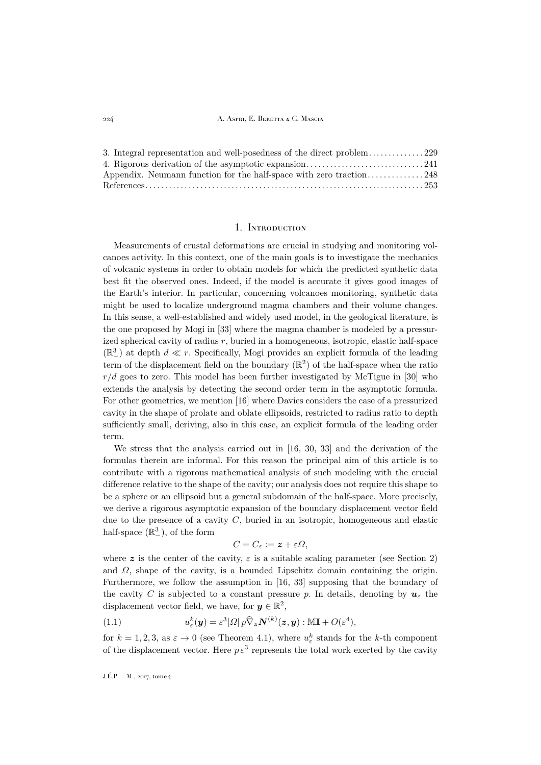#### 224 A. Aspri, E. Beretta & C. Mascia

| 3. Integral representation and well-posedness of the direct problem229 |  |
|------------------------------------------------------------------------|--|
|                                                                        |  |
| Appendix. Neumann function for the half-space with zero traction248    |  |
|                                                                        |  |

## 1. Introduction

<span id="page-2-0"></span>Measurements of crustal deformations are crucial in studying and monitoring volcanoes activity. In this context, one of the main goals is to investigate the mechanics of volcanic systems in order to obtain models for which the predicted synthetic data best fit the observed ones. Indeed, if the model is accurate it gives good images of the Earth's interior. In particular, concerning volcanoes monitoring, synthetic data might be used to localize underground magma chambers and their volume changes. In this sense, a well-established and widely used model, in the geological literature, is the one proposed by Mogi in [\[33\]](#page-32-0) where the magma chamber is modeled by a pressurized spherical cavity of radius  $r$ , buried in a homogeneous, isotropic, elastic half-space  $(\mathbb{R}^3_-)$  at depth  $d \ll r$ . Specifically, Mogi provides an explicit formula of the leading term of the displacement field on the boundary  $(\mathbb{R}^2)$  of the half-space when the ratio  $r/d$  goes to zero. This model has been further investigated by McTigue in [\[30\]](#page-32-1) who extends the analysis by detecting the second order term in the asymptotic formula. For other geometries, we mention [\[16\]](#page-31-1) where Davies considers the case of a pressurized cavity in the shape of prolate and oblate ellipsoids, restricted to radius ratio to depth sufficiently small, deriving, also in this case, an explicit formula of the leading order term.

We stress that the analysis carried out in [\[16,](#page-31-1) [30,](#page-32-1) [33\]](#page-32-0) and the derivation of the formulas therein are informal. For this reason the principal aim of this article is to contribute with a rigorous mathematical analysis of such modeling with the crucial difference relative to the shape of the cavity; our analysis does not require this shape to be a sphere or an ellipsoid but a general subdomain of the half-space. More precisely, we derive a rigorous asymptotic expansion of the boundary displacement vector field due to the presence of a cavity  $C$ , buried in an isotropic, homogeneous and elastic half-space  $(\mathbb{R}^3_-)$ , of the form

$$
C=C_{\varepsilon}:=\boldsymbol{z}+\varepsilon\Omega,
$$

where z is the center of the cavity,  $\varepsilon$  is a suitable scaling parameter (see Section [2\)](#page-5-0) and  $\Omega$ , shape of the cavity, is a bounded Lipschitz domain containing the origin. Furthermore, we follow the assumption in [\[16,](#page-31-1) [33\]](#page-32-0) supposing that the boundary of the cavity C is subjected to a constant pressure p. In details, denoting by  $u_{\varepsilon}$  the displacement vector field, we have, for  $y \in \mathbb{R}^2$ ,

<span id="page-2-1"></span>(1.1) 
$$
u_{\varepsilon}^{k}(\boldsymbol{y}) = \varepsilon^{3} |\Omega| p \widehat{\nabla}_{\boldsymbol{z}} N^{(k)}(\boldsymbol{z}, \boldsymbol{y}) : \mathbb{M} \mathbf{I} + O(\varepsilon^{4}),
$$

for  $k = 1, 2, 3$ , as  $\varepsilon \to 0$  (see Theorem [4.1\)](#page-20-0), where  $u_{\varepsilon}^{k}$  stands for the k-th component of the displacement vector. Here  $p \varepsilon^3$  represents the total work exerted by the cavity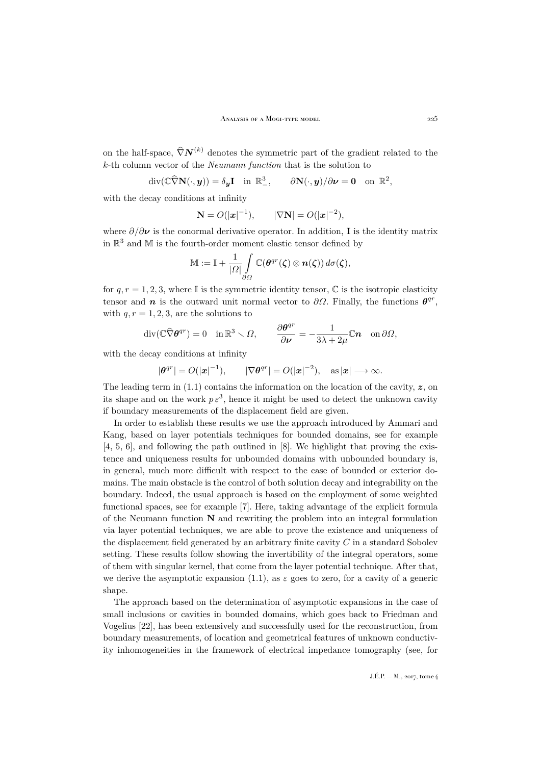on the half-space,  $\widehat{\nabla} N^{(k)}$  denotes the symmetric part of the gradient related to the k-th column vector of the *Neumann function* that is the solution to

$$
\operatorname{div}(\mathbb{C}\widehat{\nabla}\mathbf{N}(\cdot,\boldsymbol{y}))=\delta_{\boldsymbol{y}}\mathbf{I}\quad\text{in }\mathbb{R}^3_-, \qquad \partial\mathbf{N}(\cdot,\boldsymbol{y})/\partial\boldsymbol{\nu}=\mathbf{0}\quad\text{on }\mathbb{R}^2,
$$

with the decay conditions at infinity

$$
\mathbf{N} = O(|\mathbf{x}|^{-1}), \qquad |\nabla \mathbf{N}| = O(|\mathbf{x}|^{-2}),
$$

where  $\partial/\partial \nu$  is the conormal derivative operator. In addition, **I** is the identity matrix in  $\mathbb{R}^3$  and M is the fourth-order moment elastic tensor defined by

$$
\mathbb{M}:=\mathbb{I}+\frac{1}{|\Omega|}\int\limits_{\partial\Omega}\mathbb{C}(\boldsymbol{\theta}^{qr}(\boldsymbol{\zeta})\otimes\boldsymbol{n}(\boldsymbol{\zeta}))\,d\sigma(\boldsymbol{\zeta}),
$$

for  $q, r = 1, 2, 3$ , where I is the symmetric identity tensor, C is the isotropic elasticity tensor and n is the outward unit normal vector to  $\partial\Omega$ . Finally, the functions  $\theta^{qr}$ , with  $q, r = 1, 2, 3$ , are the solutions to

$$
\operatorname{div}(\mathbb{C}\widehat{\nabla} \boldsymbol{\theta}^{qr}) = 0 \quad \text{in } \mathbb{R}^3 \setminus \Omega, \qquad \frac{\partial \boldsymbol{\theta}^{qr}}{\partial \nu} = -\frac{1}{3\lambda + 2\mu} \mathbb{C} \boldsymbol{n} \quad \text{on } \partial \Omega,
$$

with the decay conditions at infinity

$$
|\boldsymbol{\theta}^{qr}| = O(|\boldsymbol{x}|^{-1}), \qquad |\nabla \boldsymbol{\theta}^{qr}| = O(|\boldsymbol{x}|^{-2}), \quad \text{as } |\boldsymbol{x}| \longrightarrow \infty.
$$

The leading term in  $(1.1)$  contains the information on the location of the cavity,  $z$ , on its shape and on the work  $p \epsilon^3$ , hence it might be used to detect the unknown cavity if boundary measurements of the displacement field are given.

In order to establish these results we use the approach introduced by Ammari and Kang, based on layer potentials techniques for bounded domains, see for example [\[4,](#page-31-2) [5,](#page-31-3) [6\]](#page-31-4), and following the path outlined in [\[8\]](#page-31-5). We highlight that proving the existence and uniqueness results for unbounded domains with unbounded boundary is, in general, much more difficult with respect to the case of bounded or exterior domains. The main obstacle is the control of both solution decay and integrability on the boundary. Indeed, the usual approach is based on the employment of some weighted functional spaces, see for example [\[7\]](#page-31-6). Here, taking advantage of the explicit formula of the Neumann function  $N$  and rewriting the problem into an integral formulation via layer potential techniques, we are able to prove the existence and uniqueness of the displacement field generated by an arbitrary finite cavity  $C$  in a standard Sobolev setting. These results follow showing the invertibility of the integral operators, some of them with singular kernel, that come from the layer potential technique. After that, we derive the asymptotic expansion [\(1.1\)](#page-2-1), as  $\varepsilon$  goes to zero, for a cavity of a generic shape.

The approach based on the determination of asymptotic expansions in the case of small inclusions or cavities in bounded domains, which goes back to Friedman and Vogelius [\[22\]](#page-32-2), has been extensively and successfully used for the reconstruction, from boundary measurements, of location and geometrical features of unknown conductivity inhomogeneities in the framework of electrical impedance tomography (see, for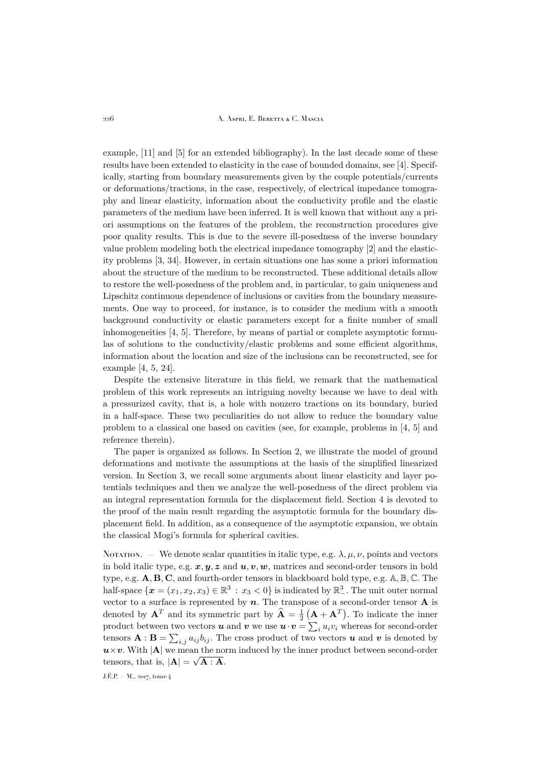226 A. Aspri, E. Beretta & C. Mascia

example, [\[11\]](#page-31-7) and [\[5\]](#page-31-3) for an extended bibliography). In the last decade some of these results have been extended to elasticity in the case of bounded domains, see [\[4\]](#page-31-2). Specifically, starting from boundary measurements given by the couple potentials/currents or deformations/tractions, in the case, respectively, of electrical impedance tomography and linear elasticity, information about the conductivity profile and the elastic parameters of the medium have been inferred. It is well known that without any a priori assumptions on the features of the problem, the reconstruction procedures give poor quality results. This is due to the severe ill-posedness of the inverse boundary value problem modeling both the electrical impedance tomography [\[2\]](#page-31-8) and the elasticity problems [\[3,](#page-31-9) [34\]](#page-32-3). However, in certain situations one has some a priori information about the structure of the medium to be reconstructed. These additional details allow to restore the well-posedness of the problem and, in particular, to gain uniqueness and Lipschitz continuous dependence of inclusions or cavities from the boundary measurements. One way to proceed, for instance, is to consider the medium with a smooth background conductivity or elastic parameters except for a finite number of small inhomogeneities [\[4,](#page-31-2) [5\]](#page-31-3). Therefore, by means of partial or complete asymptotic formulas of solutions to the conductivity/elastic problems and some efficient algorithms, information about the location and size of the inclusions can be reconstructed, see for example [\[4,](#page-31-2) [5,](#page-31-3) [24\]](#page-32-4).

Despite the extensive literature in this field, we remark that the mathematical problem of this work represents an intriguing novelty because we have to deal with a pressurized cavity, that is, a hole with nonzero tractions on its boundary, buried in a half-space. These two peculiarities do not allow to reduce the boundary value problem to a classical one based on cavities (see, for example, problems in [\[4,](#page-31-2) [5\]](#page-31-3) and reference therein).

The paper is organized as follows. In Section [2,](#page-5-0) we illustrate the model of ground deformations and motivate the assumptions at the basis of the simplified linearized version. In Section [3,](#page-7-0) we recall some arguments about linear elasticity and layer potentials techniques and then we analyze the well-posedness of the direct problem via an integral representation formula for the displacement field. Section [4](#page-19-0) is devoted to the proof of the main result regarding the asymptotic formula for the boundary displacement field. In addition, as a consequence of the asymptotic expansion, we obtain the classical Mogi's formula for spherical cavities.

NOTATION. — We denote scalar quantities in italic type, e.g.  $\lambda, \mu, \nu$ , points and vectors in bold italic type, e.g.  $x, y, z$  and  $u, v, w$ , matrices and second-order tensors in bold type, e.g.  $\mathbf{A}, \mathbf{B}, \mathbf{C}$ , and fourth-order tensors in blackboard bold type, e.g.  $\mathbb{A}, \mathbb{B}, \mathbb{C}$ . The half-space  $\{x=(x_1,x_2,x_3)\in\mathbb{R}^3\,:\,x_3<0\}$  is indicated by  $\mathbb{R}^3_+$ . The unit outer normal vector to a surface is represented by  $n$ . The transpose of a second-order tensor **A** is denoted by  $\mathbf{A}^T$  and its symmetric part by  $\hat{\mathbf{A}} = \frac{1}{2} (\mathbf{A} + \mathbf{A}^T)$ . To indicate the inner product between two vectors  $\boldsymbol{u}$  and  $\boldsymbol{v}$  we use  $\boldsymbol{u} \cdot \boldsymbol{v} = \sum_i u_i v_i$  whereas for second-order tensors  $\mathbf{A} : \mathbf{B} = \sum_{i,j} a_{ij} b_{ij}$ . The cross product of two vectors  $\boldsymbol{u}$  and  $\boldsymbol{v}$  is denoted by  $u \times v$ . With |A| we mean the norm induced by the inner product between second-order tensors, that is,  $|\mathbf{A}| = \sqrt{\mathbf{A}} : \mathbf{A}$ .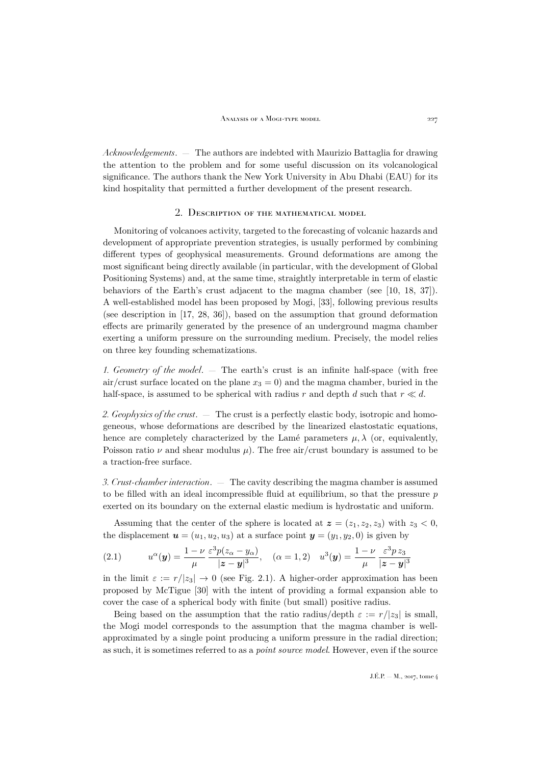*Acknowledgements*. — The authors are indebted with Maurizio Battaglia for drawing the attention to the problem and for some useful discussion on its volcanological significance. The authors thank the New York University in Abu Dhabi (EAU) for its kind hospitality that permitted a further development of the present research.

## 2. Description of the mathematical model

<span id="page-5-0"></span>Monitoring of volcanoes activity, targeted to the forecasting of volcanic hazards and development of appropriate prevention strategies, is usually performed by combining different types of geophysical measurements. Ground deformations are among the most significant being directly available (in particular, with the development of Global Positioning Systems) and, at the same time, straightly interpretable in term of elastic behaviors of the Earth's crust adjacent to the magma chamber (see [\[10,](#page-31-10) [18,](#page-32-5) [37\]](#page-32-6)). A well-established model has been proposed by Mogi, [\[33\]](#page-32-0), following previous results (see description in [\[17,](#page-31-11) [28,](#page-32-7) [36\]](#page-32-8)), based on the assumption that ground deformation effects are primarily generated by the presence of an underground magma chamber exerting a uniform pressure on the surrounding medium. Precisely, the model relies on three key founding schematizations.

*1. Geometry of the model*. — The earth's crust is an infinite half-space (with free air/crust surface located on the plane  $x_3 = 0$  and the magma chamber, buried in the half-space, is assumed to be spherical with radius r and depth d such that  $r \ll d$ .

*2. Geophysics of the crust*. — The crust is a perfectly elastic body, isotropic and homogeneous, whose deformations are described by the linearized elastostatic equations, hence are completely characterized by the Lamé parameters  $\mu$ ,  $\lambda$  (or, equivalently, Poisson ratio  $\nu$  and shear modulus  $\mu$ ). The free air/crust boundary is assumed to be a traction-free surface.

*3. Crust-chamber interaction*. — The cavity describing the magma chamber is assumed to be filled with an ideal incompressible fluid at equilibrium, so that the pressure  $p$ exerted on its boundary on the external elastic medium is hydrostatic and uniform.

Assuming that the center of the sphere is located at  $z = (z_1, z_2, z_3)$  with  $z_3 < 0$ , the displacement  $u = (u_1, u_2, u_3)$  at a surface point  $y = (y_1, y_2, 0)$  is given by

<span id="page-5-1"></span>(2.1) 
$$
u^{\alpha}(\mathbf{y}) = \frac{1 - \nu}{\mu} \frac{\varepsilon^3 p(z_{\alpha} - y_{\alpha})}{|\mathbf{z} - \mathbf{y}|^3}, \quad (\alpha = 1, 2) \quad u^3(\mathbf{y}) = \frac{1 - \nu}{\mu} \frac{\varepsilon^3 p z_3}{|\mathbf{z} - \mathbf{y}|^3}
$$

in the limit  $\varepsilon := r/|z_3| \to 0$  (see Fig. [2.1\)](#page-6-0). A higher-order approximation has been proposed by McTigue [\[30\]](#page-32-1) with the intent of providing a formal expansion able to cover the case of a spherical body with finite (but small) positive radius.

Being based on the assumption that the ratio radius/depth  $\varepsilon := r/|z_3|$  is small, the Mogi model corresponds to the assumption that the magma chamber is wellapproximated by a single point producing a uniform pressure in the radial direction; as such, it is sometimes referred to as a *point source model*. However, even if the source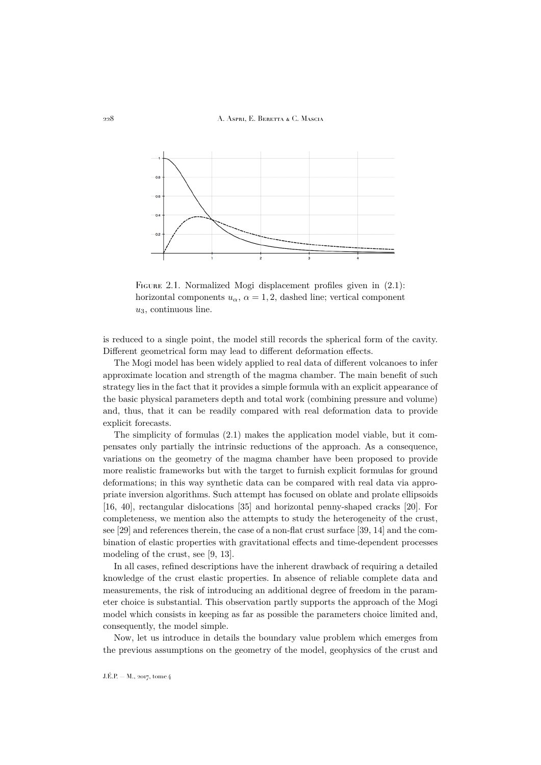#### 228 A. Aspri, E. Beretta & C. Mascia



<span id="page-6-0"></span>FIGURE 2.1. Normalized Mogi displacement profiles given in  $(2.1)$ : horizontal components  $u_{\alpha}$ ,  $\alpha = 1, 2$ , dashed line; vertical component  $u_3$ , continuous line.

is reduced to a single point, the model still records the spherical form of the cavity. Different geometrical form may lead to different deformation effects.

The Mogi model has been widely applied to real data of different volcanoes to infer approximate location and strength of the magma chamber. The main benefit of such strategy lies in the fact that it provides a simple formula with an explicit appearance of the basic physical parameters depth and total work (combining pressure and volume) and, thus, that it can be readily compared with real deformation data to provide explicit forecasts.

The simplicity of formulas [\(2.1\)](#page-5-1) makes the application model viable, but it compensates only partially the intrinsic reductions of the approach. As a consequence, variations on the geometry of the magma chamber have been proposed to provide more realistic frameworks but with the target to furnish explicit formulas for ground deformations; in this way synthetic data can be compared with real data via appropriate inversion algorithms. Such attempt has focused on oblate and prolate ellipsoids [\[16,](#page-31-1) [40\]](#page-32-9), rectangular dislocations [\[35\]](#page-32-10) and horizontal penny-shaped cracks [\[20\]](#page-32-11). For completeness, we mention also the attempts to study the heterogeneity of the crust, see [\[29\]](#page-32-12) and references therein, the case of a non-flat crust surface [\[39,](#page-32-13) [14\]](#page-31-12) and the combination of elastic properties with gravitational effects and time-dependent processes modeling of the crust, see [\[9,](#page-31-13) [13\]](#page-31-14).

In all cases, refined descriptions have the inherent drawback of requiring a detailed knowledge of the crust elastic properties. In absence of reliable complete data and measurements, the risk of introducing an additional degree of freedom in the parameter choice is substantial. This observation partly supports the approach of the Mogi model which consists in keeping as far as possible the parameters choice limited and, consequently, the model simple.

Now, let us introduce in details the boundary value problem which emerges from the previous assumptions on the geometry of the model, geophysics of the crust and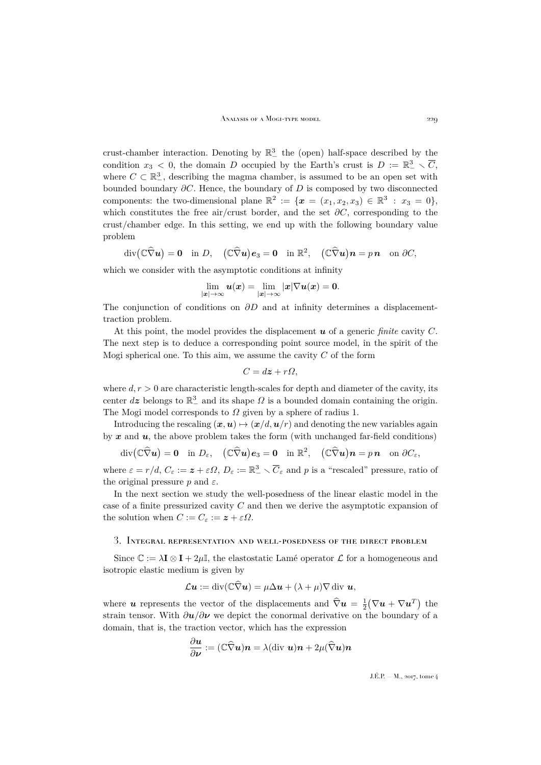crust-chamber interaction. Denoting by  $\mathbb{R}^3$  the (open) half-space described by the condition  $x_3 < 0$ , the domain D occupied by the Earth's crust is  $D := \mathbb{R}^3_+ \setminus \overline{C}$ , where  $C \subset \mathbb{R}^3_$ , describing the magma chamber, is assumed to be an open set with bounded boundary  $\partial C$ . Hence, the boundary of D is composed by two disconnected components: the two-dimensional plane  $\mathbb{R}^2 := \{ \boldsymbol{x} = (x_1, x_2, x_3) \in \mathbb{R}^3 : x_3 = 0 \},\$ which constitutes the free air/crust border, and the set  $\partial C$ , corresponding to the crust/chamber edge. In this setting, we end up with the following boundary value problem

$$
\operatorname{div}(\mathbb{C}\widehat{\nabla}u)=\mathbf{0}\quad\text{in }D,\quad (\mathbb{C}\widehat{\nabla}u)e_3=\mathbf{0}\quad\text{in }\mathbb{R}^2,\quad (\mathbb{C}\widehat{\nabla}u)n=p\,\mathbf{n}\quad\text{on }\partial C,
$$

which we consider with the asymptotic conditions at infinity

$$
\lim_{|{\boldsymbol{x}}|\to\infty} {\boldsymbol{u}}({\boldsymbol{x}}) = \lim_{|{\boldsymbol{x}}|\to\infty} |{\boldsymbol{x}}| \nabla {\boldsymbol{u}}({\boldsymbol{x}}) = {\boldsymbol{0}}.
$$

The conjunction of conditions on  $\partial D$  and at infinity determines a displacementtraction problem.

At this point, the model provides the displacement  $u$  of a generic *finite* cavity  $C$ . The next step is to deduce a corresponding point source model, in the spirit of the Mogi spherical one. To this aim, we assume the cavity  $C$  of the form

$$
C = d\boldsymbol{z} + r\Omega,
$$

where  $d, r > 0$  are characteristic length-scales for depth and diameter of the cavity, its center  $d\mathbf{z}$  belongs to  $\mathbb{R}^3_-$  and its shape  $\Omega$  is a bounded domain containing the origin. The Mogi model corresponds to  $\Omega$  given by a sphere of radius 1.

Introducing the rescaling  $(x, u) \mapsto (x/d, u/r)$  and denoting the new variables again by  $x$  and  $u$ , the above problem takes the form (with unchanged far-field conditions)

$$
\operatorname{div}(\mathbb{C}\widehat{\nabla}u)=\mathbf{0}\quad\text{in }D_{\varepsilon},\quad (\mathbb{C}\widehat{\nabla}u)e_3=\mathbf{0}\quad\text{in }\mathbb{R}^2,\quad (\mathbb{C}\widehat{\nabla}u)\mathbf{n}=p\,\mathbf{n}\quad\text{on }\partial C_{\varepsilon},
$$

where  $\varepsilon = r/d$ ,  $C_{\varepsilon} := \mathbf{z} + \varepsilon \Omega$ ,  $D_{\varepsilon} := \mathbb{R}^3_- \setminus \overline{C}_{\varepsilon}$  and p is a "rescaled" pressure, ratio of the original pressure p and  $\varepsilon$ .

In the next section we study the well-posedness of the linear elastic model in the case of a finite pressurized cavity C and then we derive the asymptotic expansion of the solution when  $C := C_{\varepsilon} := \mathbf{z} + \varepsilon \Omega$ .

## <span id="page-7-0"></span>3. Integral representation and well-posedness of the direct problem

Since  $\mathbb{C} := \lambda \mathbf{I} \otimes \mathbf{I} + 2\mu \mathbb{I}$ , the elastostatic Lamé operator  $\mathcal{L}$  for a homogeneous and isotropic elastic medium is given by

$$
\mathcal{L}\boldsymbol{u} := \mathrm{div}(\mathbb{C}\widehat{\nabla}\boldsymbol{u}) = \mu \Delta \boldsymbol{u} + (\lambda + \mu) \nabla \mathrm{div} \boldsymbol{u},
$$

where u represents the vector of the displacements and  $\hat{\nabla} u = \frac{1}{2} (\nabla u + \nabla u^T)$  the strain tensor. With  $\partial u/\partial \nu$  we depict the conormal derivative on the boundary of a domain, that is, the traction vector, which has the expression

$$
\frac{\partial \boldsymbol{u}}{\partial \boldsymbol{\nu}} := (\mathbb{C}\widehat{\nabla}\boldsymbol{u})\boldsymbol{n} = \lambda(\text{div }\boldsymbol{u})\boldsymbol{n} + 2\mu(\widehat{\nabla}\boldsymbol{u})\boldsymbol{n}
$$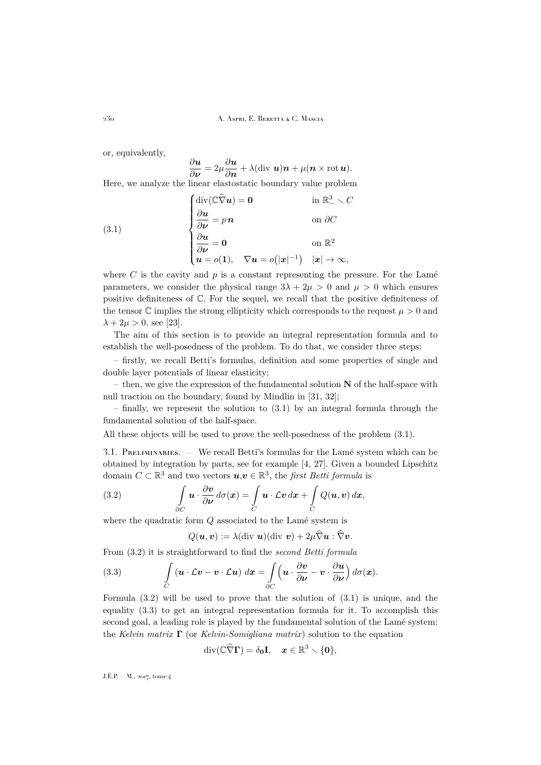or, equivalently,

$$
\frac{\partial u}{\partial \nu} = 2\mu \frac{\partial u}{\partial n} + \lambda (\text{div } u)n + \mu (n \times \text{rot } u).
$$
 Here, we analyze the linear elastic boundary value problem

(3.1)  
\n
$$
\begin{cases}\n\text{div}(\mathbb{C}\widehat{\nabla}u) = \mathbf{0} & \text{in } \mathbb{R}^3 \setminus C \\
\frac{\partial \mathbf{u}}{\partial \mathbf{\nu}} = p \mathbf{n} & \text{on } \partial C \\
\frac{\partial \mathbf{u}}{\partial \mathbf{\nu}} = \mathbf{0} & \text{on } \mathbb{R}^2 \\
\mathbf{u} = o(\mathbf{1}), \quad \nabla \mathbf{u} = o(|\mathbf{x}|^{-1}) & |\mathbf{x}| \to \infty,\n\end{cases}
$$

<span id="page-8-0"></span>∂u

where C is the cavity and  $p$  is a constant representing the pressure. For the Lamé parameters, we consider the physical range  $3\lambda + 2\mu > 0$  and  $\mu > 0$  which ensures positive definiteness of C. For the sequel, we recall that the positive definiteness of the tensor  $\mathbb C$  implies the strong ellipticity which corresponds to the request  $\mu > 0$  and  $\lambda + 2\mu > 0$ , see [\[23\]](#page-32-14).

The aim of this section is to provide an integral representation formula and to establish the well-posedness of the problem. To do that, we consider three steps:

– firstly, we recall Betti's formulas, definition and some properties of single and double layer potentials of linear elasticity;

– then, we give the expression of the fundamental solution  $N$  of the half-space with null traction on the boundary, found by Mindlin in [\[31,](#page-32-15) [32\]](#page-32-16);

– finally, we represent the solution to [\(3.1\)](#page-8-0) by an integral formula through the fundamental solution of the half-space.

All these objects will be used to prove the well-posedness of the problem [\(3.1\)](#page-8-0).

3.1. PRELIMINARIES. — We recall Betti's formulas for the Lamé system which can be obtained by integration by parts, see for example [\[4,](#page-31-2) [27\]](#page-32-17). Given a bounded Lipschitz domain  $C \subset \mathbb{R}^3$  and two vectors  $u, v \in \mathbb{R}^3$ , the *first Betti formula* is

(3.2) 
$$
\int_{\partial C} \mathbf{u} \cdot \frac{\partial \mathbf{v}}{\partial \mathbf{\nu}} d\sigma(\mathbf{x}) = \int_{C} \mathbf{u} \cdot \mathcal{L} \mathbf{v} d\mathbf{x} + \int_{C} Q(\mathbf{u}, \mathbf{v}) d\mathbf{x},
$$

where the quadratic form  $Q$  associated to the Lamé system is

<span id="page-8-2"></span><span id="page-8-1"></span>
$$
Q(\boldsymbol{u},\boldsymbol{v}) := \lambda(\text{div }\boldsymbol{u})(\text{div }\boldsymbol{v}) + 2\mu \widehat{\nabla} \boldsymbol{u} : \widehat{\nabla} \boldsymbol{v}.
$$

From [\(3.2\)](#page-8-1) it is straightforward to find the *second Betti formula*

(3.3) 
$$
\int_{C} (\mathbf{u} \cdot \mathcal{L} \mathbf{v} - \mathbf{v} \cdot \mathcal{L} \mathbf{u}) d\mathbf{x} = \int_{\partial C} (\mathbf{u} \cdot \frac{\partial \mathbf{v}}{\partial \mathbf{\nu}} - \mathbf{v} \cdot \frac{\partial \mathbf{u}}{\partial \mathbf{\nu}}) d\sigma(\mathbf{x}).
$$

Formula [\(3.2\)](#page-8-1) will be used to prove that the solution of [\(3.1\)](#page-8-0) is unique, and the equality [\(3.3\)](#page-8-2) to get an integral representation formula for it. To accomplish this second goal, a leading role is played by the fundamental solution of the Lamé system: the *Kelvin matrix* Γ (or *Kelvin-Somigliana matrix*) solution to the equation

$$
\mathrm{div}(\mathbb{C}\widehat{\nabla}\Gamma)=\delta_0\mathbf{I},\quad \boldsymbol{x}\in\mathbb{R}^3\smallsetminus\{\boldsymbol{0}\},
$$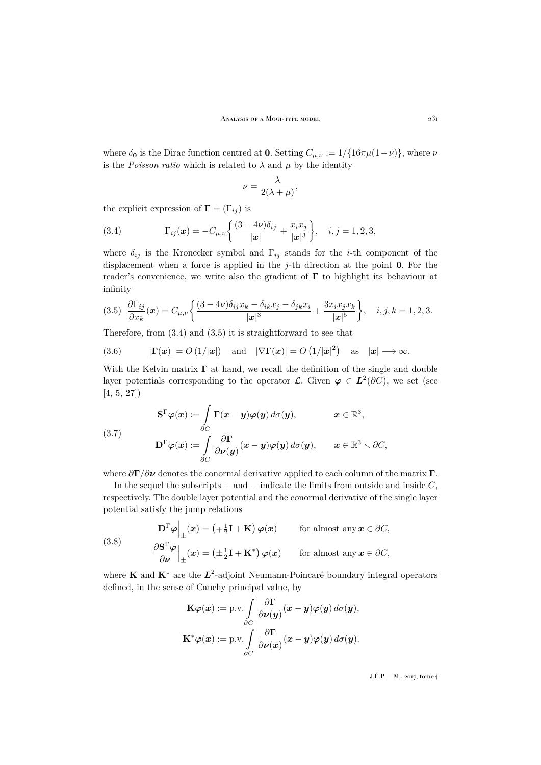where  $\delta_0$  is the Dirac function centred at 0. Setting  $C_{\mu,\nu} := 1/\{16\pi\mu(1-\nu)\}\,$ , where  $\nu$ is the *Poisson ratio* which is related to  $\lambda$  and  $\mu$  by the identity

$$
\nu = \frac{\lambda}{2(\lambda + \mu)},
$$

the explicit expression of  $\mathbf{\Gamma} = (\Gamma_{ij})$  is

<span id="page-9-0"></span>(3.4) 
$$
\Gamma_{ij}(\boldsymbol{x}) = -C_{\mu,\nu} \left\{ \frac{(3-4\nu)\delta_{ij}}{|\boldsymbol{x}|} + \frac{x_i x_j}{|\boldsymbol{x}|^3} \right\}, \quad i, j = 1, 2, 3,
$$

where  $\delta_{ij}$  is the Kronecker symbol and  $\Gamma_{ij}$  stands for the *i*-th component of the displacement when a force is applied in the j-th direction at the point  $\bf{0}$ . For the reader's convenience, we write also the gradient of  $\Gamma$  to highlight its behaviour at infinity

<span id="page-9-1"></span>
$$
(3.5)\ \ \frac{\partial \Gamma_{ij}}{\partial x_k}(\mathbf{x}) = C_{\mu,\nu} \left\{ \frac{(3-4\nu)\delta_{ij}x_k - \delta_{ik}x_j - \delta_{jk}x_i}{|\mathbf{x}|^3} + \frac{3x_ix_jx_k}{|\mathbf{x}|^5} \right\}, \quad i, j, k = 1, 2, 3.
$$

Therefore, from [\(3.4\)](#page-9-0) and [\(3.5\)](#page-9-1) it is straightforward to see that

(3.6) 
$$
|\mathbf{\Gamma}(\mathbf{x})| = O(1/|\mathbf{x}|)
$$
 and  $|\nabla \mathbf{\Gamma}(\mathbf{x})| = O(1/|\mathbf{x}|^2)$  as  $|\mathbf{x}| \to \infty$ .

With the Kelvin matrix  $\Gamma$  at hand, we recall the definition of the single and double layer potentials corresponding to the operator  $\mathcal{L}$ . Given  $\varphi \in L^2(\partial C)$ , we set (see [\[4,](#page-31-2) [5,](#page-31-3) [27\]](#page-32-17))

<span id="page-9-3"></span>(3.7) 
$$
\mathbf{S}^{\Gamma} \varphi(\boldsymbol{x}) := \int_{\partial C} \mathbf{\Gamma}(\boldsymbol{x} - \boldsymbol{y}) \varphi(\boldsymbol{y}) d\sigma(\boldsymbol{y}), \qquad \boldsymbol{x} \in \mathbb{R}^{3},
$$

$$
\mathbf{D}^{\Gamma} \varphi(\boldsymbol{x}) := \int_{\partial C} \frac{\partial \mathbf{\Gamma}}{\partial \nu(\boldsymbol{y})} (\boldsymbol{x} - \boldsymbol{y}) \varphi(\boldsymbol{y}) d\sigma(\boldsymbol{y}), \qquad \boldsymbol{x} \in \mathbb{R}^{3} \setminus \partial C,
$$

where  $\partial \Gamma / \partial \nu$  denotes the conormal derivative applied to each column of the matrix  $\Gamma$ .

In the sequel the subscripts  $+$  and  $-$  indicate the limits from outside and inside C, respectively. The double layer potential and the conormal derivative of the single layer potential satisfy the jump relations

<span id="page-9-2"></span>(3.8) 
$$
\mathbf{D}^{\Gamma}\varphi\Big|_{\pm}(\mathbf{x}) = (\mp \frac{1}{2}\mathbf{I} + \mathbf{K}) \varphi(\mathbf{x}) \quad \text{for almost any } \mathbf{x} \in \partial C, \frac{\partial \mathbf{S}^{\Gamma}\varphi}{\partial \nu}\Big|_{\pm}(\mathbf{x}) = (\pm \frac{1}{2}\mathbf{I} + \mathbf{K}^{*}) \varphi(\mathbf{x}) \quad \text{for almost any } \mathbf{x} \in \partial C,
$$

where **K** and  $\mathbf{K}^*$  are the  $L^2$ -adjoint Neumann-Poincaré boundary integral operators defined, in the sense of Cauchy principal value, by

$$
\mathbf{K}\varphi(\boldsymbol{x}) := \text{p.v.} \int_{\partial C} \frac{\partial \boldsymbol{\Gamma}}{\partial \boldsymbol{\nu}(\boldsymbol{y})} (\boldsymbol{x} - \boldsymbol{y}) \varphi(\boldsymbol{y}) d\sigma(\boldsymbol{y}),
$$

$$
\mathbf{K}^* \varphi(\boldsymbol{x}) := \text{p.v.} \int_{\partial C} \frac{\partial \boldsymbol{\Gamma}}{\partial \boldsymbol{\nu}(\boldsymbol{x})} (\boldsymbol{x} - \boldsymbol{y}) \varphi(\boldsymbol{y}) d\sigma(\boldsymbol{y}).
$$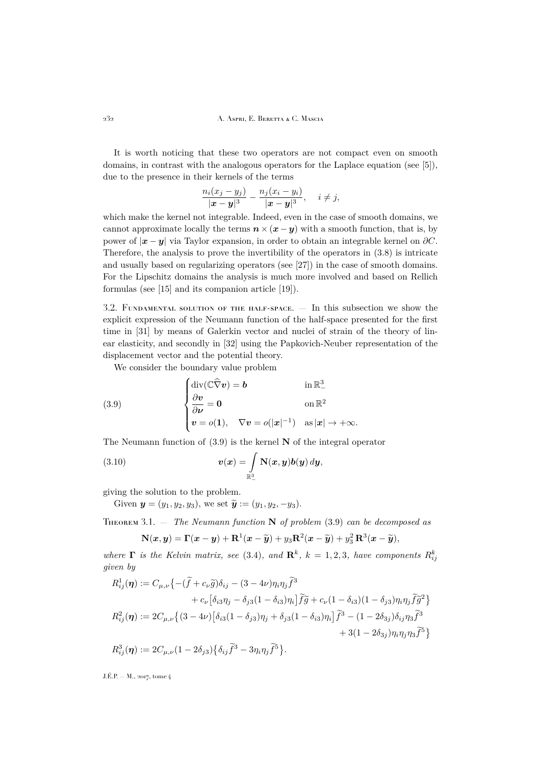It is worth noticing that these two operators are not compact even on smooth domains, in contrast with the analogous operators for the Laplace equation (see [\[5\]](#page-31-3)), due to the presence in their kernels of the terms

$$
\frac{n_i(x_j - y_j)}{|x - y|^3} - \frac{n_j(x_i - y_i)}{|x - y|^3}, \quad i \neq j,
$$

which make the kernel not integrable. Indeed, even in the case of smooth domains, we cannot approximate locally the terms  $n \times (x - y)$  with a smooth function, that is, by power of  $|x - y|$  via Taylor expansion, in order to obtain an integrable kernel on  $\partial C$ . Therefore, the analysis to prove the invertibility of the operators in [\(3.8\)](#page-9-2) is intricate and usually based on regularizing operators (see [\[27\]](#page-32-17)) in the case of smooth domains. For the Lipschitz domains the analysis is much more involved and based on Rellich formulas (see [\[15\]](#page-31-15) and its companion article [\[19\]](#page-32-18)).

3.2. Fundamental solution of the half-space. — In this subsection we show the explicit expression of the Neumann function of the half-space presented for the first time in [\[31\]](#page-32-15) by means of Galerkin vector and nuclei of strain of the theory of linear elasticity, and secondly in [\[32\]](#page-32-16) using the Papkovich-Neuber representation of the displacement vector and the potential theory.

<span id="page-10-0"></span>We consider the boundary value problem

(3.9) 
$$
\begin{cases} \operatorname{div}(\mathbb{C}\widehat{\nabla}v) = \mathbf{b} & \text{in } \mathbb{R}^3_- \\ \frac{\partial v}{\partial \nu} = \mathbf{0} & \text{on } \mathbb{R}^2 \\ v = o(1), \quad \nabla v = o(|x|^{-1}) & \text{as } |x| \to +\infty. \end{cases}
$$

The Neumann function of  $(3.9)$  is the kernel N of the integral operator

(3.10) 
$$
\mathbf{v}(\mathbf{x}) = \int_{\mathbb{R}^3_-} \mathbf{N}(\mathbf{x}, \mathbf{y}) \mathbf{b}(\mathbf{y}) \, d\mathbf{y},
$$

giving the solution to the problem.

Given  $y = (y_1, y_2, y_3)$ , we set  $\widetilde{y} := (y_1, y_2, -y_3)$ .

<span id="page-10-1"></span>Theorem 3.1. — *The Neumann function* N *of problem* [\(3.9\)](#page-10-0) *can be decomposed as*

$$
\mathbf{N}(\boldsymbol{x},\boldsymbol{y}) = \boldsymbol{\Gamma}(\boldsymbol{x}-\boldsymbol{y}) + \mathbf{R}^1(\boldsymbol{x}-\widetilde{\boldsymbol{y}}) + y_3\mathbf{R}^2(\boldsymbol{x}-\widetilde{\boldsymbol{y}}) + y_3^2\mathbf{R}^3(\boldsymbol{x}-\widetilde{\boldsymbol{y}}),
$$

where  $\Gamma$  is the Kelvin matrix, see [\(3.4\)](#page-9-0), and  $\mathbb{R}^k$ ,  $k = 1, 2, 3$ , have components  $R_{ij}^k$ *given by*

$$
R_{ij}^1(\boldsymbol{\eta}) := C_{\mu,\nu} \left\{ -(\tilde{f} + c_{\nu}\tilde{g})\delta_{ij} - (3 - 4\nu)\eta_i \eta_j \tilde{f}^3 \right.+ c_{\nu} \left[ \delta_{i3}\eta_j - \delta_{j3}(1 - \delta_{i3})\eta_i \right] \tilde{f}\tilde{g} + c_{\nu} (1 - \delta_{i3})(1 - \delta_{j3})\eta_i \eta_j \tilde{f}\tilde{g}^2 \right\}R_{ij}^2(\boldsymbol{\eta}) := 2C_{\mu,\nu} \left\{ (3 - 4\nu) \left[ \delta_{i3}(1 - \delta_{j3})\eta_j + \delta_{j3}(1 - \delta_{i3})\eta_i \right] \tilde{f}^3 - (1 - 2\delta_{3j})\delta_{ij}\eta_3 \tilde{f}^3 \right. + 3(1 - 2\delta_{3j})\eta_i \eta_j \eta_3 \tilde{f}^5 \right\}R_{ij}^3(\boldsymbol{\eta}) := 2C_{\mu,\nu} (1 - 2\delta_{j3}) \left\{ \delta_{ij} \tilde{f}^3 - 3\eta_i \eta_j \tilde{f}^5 \right\}.
$$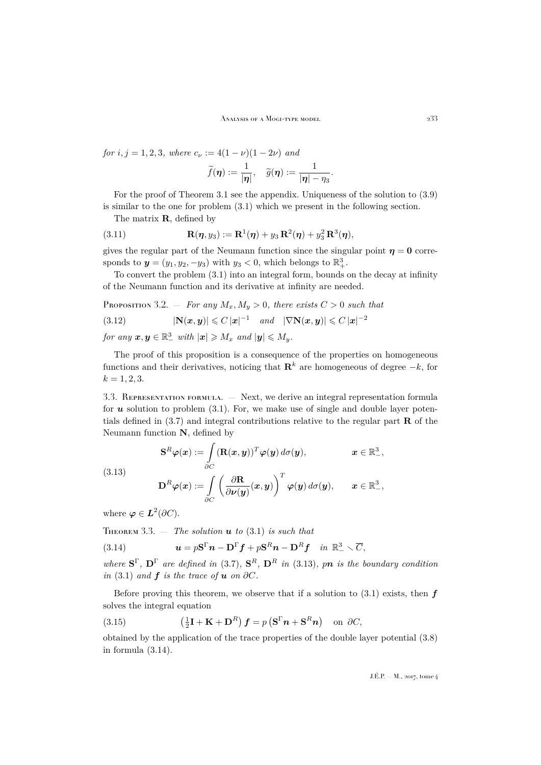*for*  $i, j = 1, 2, 3$ *, where*  $c_{\nu} := 4(1 - \nu)(1 - 2\nu)$  *and*  $\widetilde{f}(\boldsymbol{\eta}) := \frac{1}{|\boldsymbol{\eta}|}, \quad \widetilde{g}(\boldsymbol{\eta}) := \frac{1}{|\boldsymbol{\eta}| - \eta_3}.$ 

For the proof of Theorem [3.1](#page-10-1) see the appendix. Uniqueness of the solution to [\(3.9\)](#page-10-0) is similar to the one for problem [\(3.1\)](#page-8-0) which we present in the following section.

The matrix **, defined by** 

(3.11) 
$$
\mathbf{R}(\boldsymbol{\eta},y_3):=\mathbf{R}^1(\boldsymbol{\eta})+y_3\,\mathbf{R}^2(\boldsymbol{\eta})+y_3^2\,\mathbf{R}^3(\boldsymbol{\eta}),
$$

gives the regular part of the Neumann function since the singular point  $\eta = 0$  corresponds to  $y = (y_1, y_2, -y_3)$  with  $y_3 < 0$ , which belongs to  $\mathbb{R}^3_+$ .

To convert the problem [\(3.1\)](#page-8-0) into an integral form, bounds on the decay at infinity of the Neumann function and its derivative at infinity are needed.

PROPOSITION 3.2.  $-$  *For any*  $M_x, M_y > 0$ *, there exists*  $C > 0$  *such that* 

<span id="page-11-3"></span>
$$
(3.12) \qquad |\mathbf{N}(x,y)| \leqslant C |x|^{-1} \quad \text{and} \quad |\nabla \mathbf{N}(x,y)| \leqslant C |x|^{-2}
$$

 $for any \mathbf{x}, \mathbf{y} \in \mathbb{R}^3_$  with  $|\mathbf{x}| \geqslant M_x$  and  $|\mathbf{y}| \leqslant M_y$ .

The proof of this proposition is a consequence of the properties on homogeneous functions and their derivatives, noticing that  $\mathbf{R}^k$  are homogeneous of degree  $-k$ , for  $k = 1, 2, 3.$ 

3.3. Representation formula. — Next, we derive an integral representation formula for  $u$  solution to problem  $(3.1)$ . For, we make use of single and double layer potentials defined in  $(3.7)$  and integral contributions relative to the regular part **R** of the Neumann function N, defined by

<span id="page-11-0"></span>(3.13)  
\n
$$
\mathbf{S}^{R} \varphi(\boldsymbol{x}) := \int_{\partial C} (\mathbf{R}(\boldsymbol{x}, \boldsymbol{y}))^{T} \varphi(\boldsymbol{y}) d\sigma(\boldsymbol{y}), \qquad \boldsymbol{x} \in \mathbb{R}^{3}_{-},
$$
\n
$$
\mathbf{D}^{R} \varphi(\boldsymbol{x}) := \int_{\partial C} \left( \frac{\partial \mathbf{R}}{\partial \nu(\boldsymbol{y})} (\boldsymbol{x}, \boldsymbol{y}) \right)^{T} \varphi(\boldsymbol{y}) d\sigma(\boldsymbol{y}), \qquad \boldsymbol{x} \in \mathbb{R}^{3}_{-},
$$

where  $\boldsymbol{\varphi} \in \boldsymbol{L}^2(\partial C)$ .

<span id="page-11-2"></span>THEOREM 3.3.  $-$  *The solution* **u** *to* [\(3.1\)](#page-8-0) *is such that* 

<span id="page-11-1"></span>(3.14) 
$$
\mathbf{u} = p\mathbf{S}^{\Gamma}\mathbf{n} - \mathbf{D}^{\Gamma}\mathbf{f} + p\mathbf{S}^R\mathbf{n} - \mathbf{D}^R\mathbf{f} \quad in \ \mathbb{R}^3_{-} \setminus \overline{C},
$$

where  $S^{\Gamma}$ ,  $D^{\Gamma}$  are defined in [\(3.7\)](#page-9-3),  $S^{R}$ ,  $D^{R}$  in [\(3.13\)](#page-11-0), pn is the boundary condition *in* [\(3.1\)](#page-8-0) *and*  $f$  *is the trace of*  $u$  *on*  $\partial C$ *.* 

Before proving this theorem, we observe that if a solution to  $(3.1)$  exists, then  $f$ solves the integral equation

<span id="page-11-4"></span>(3.15) 
$$
\left(\frac{1}{2}\mathbf{I} + \mathbf{K} + \mathbf{D}^{R}\right)\boldsymbol{f} = p\left(\mathbf{S}^{\Gamma}\boldsymbol{n} + \mathbf{S}^{R}\boldsymbol{n}\right) \text{ on } \partial C,
$$

obtained by the application of the trace properties of the double layer potential [\(3.8\)](#page-9-2) in formula [\(3.14\)](#page-11-1).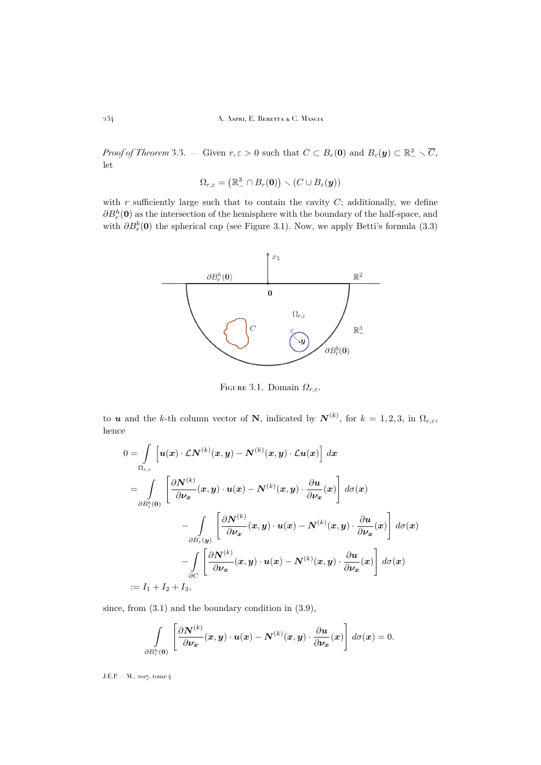*Proof of Theorem* [3.3.](#page-11-2) – Given  $r, \varepsilon > 0$  such that  $C \subset B_r(\mathbf{0})$  and  $B_{\varepsilon}(\mathbf{y}) \subset \mathbb{R}^3_- \setminus \overline{C}$ , let

$$
\Omega_{r,\varepsilon} = (\mathbb{R}^3_- \cap B_r(\mathbf{0})) \setminus (C \cup B_{\varepsilon}(\mathbf{y}))
$$

with  $r$  sufficiently large such that to contain the cavity  $C$ ; additionally, we define  $\partial B_r^h(\mathbf{0})$  as the intersection of the hemisphere with the boundary of the half-space, and with  $\partial B_r^b(\mathbf{0})$  the spherical cap (see Figure [3.1\)](#page-12-0). Now, we apply Betti's formula [\(3.3\)](#page-8-2)



<span id="page-12-0"></span>FIGURE 3.1. Domain  $\Omega_{r,\varepsilon}$ .

to **u** and the k-th column vector of N, indicated by  $N^{(k)}$ , for  $k = 1, 2, 3$ , in  $\Omega_{r,\varepsilon}$ , hence

$$
0 = \int_{\Omega_{r,\varepsilon}} \left[ u(x) \cdot \mathcal{L}N^{(k)}(x, y) - N^{(k)}(x, y) \cdot \mathcal{L}u(x) \right] dx
$$
  
\n
$$
= \int_{\partial B_r^b(0)} \left[ \frac{\partial N^{(k)}}{\partial \nu_x}(x, y) \cdot u(x) - N^{(k)}(x, y) \cdot \frac{\partial u}{\partial \nu_x}(x) \right] d\sigma(x)
$$
  
\n
$$
- \int_{\partial B_\varepsilon(y)} \left[ \frac{\partial N^{(k)}}{\partial \nu_x}(x, y) \cdot u(x) - N^{(k)}(x, y) \cdot \frac{\partial u}{\partial \nu_x}(x) \right] d\sigma(x)
$$
  
\n
$$
- \int_{\partial C} \left[ \frac{\partial N^{(k)}}{\partial \nu_x}(x, y) \cdot u(x) - N^{(k)}(x, y) \cdot \frac{\partial u}{\partial \nu_x}(x) \right] d\sigma(x)
$$
  
\n:= I<sub>1</sub> + I<sub>2</sub> + I<sub>3</sub>,

since, from  $(3.1)$  and the boundary condition in  $(3.9)$ ,

$$
\int\limits_{\partial B_r^h(\mathbf{0})}\left[\frac{\partial \boldsymbol{N}^{(k)}}{\partial \boldsymbol{\nu_x}}(\boldsymbol{x}, \boldsymbol{y}) \cdot \boldsymbol{u}(\boldsymbol{x}) - \boldsymbol{N}^{(k)}(\boldsymbol{x}, \boldsymbol{y}) \cdot \frac{\partial \boldsymbol{u}}{\partial \boldsymbol{\nu_x}}(\boldsymbol{x})\right]\,d\sigma(\boldsymbol{x}) = 0.
$$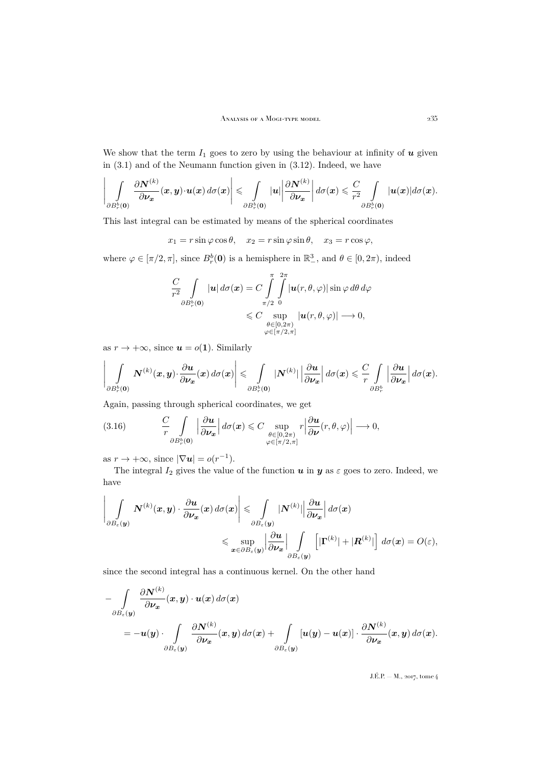We show that the term  $I_1$  goes to zero by using the behaviour at infinity of  $u$  given in [\(3.1\)](#page-8-0) and of the Neumann function given in [\(3.12\)](#page-11-3). Indeed, we have

$$
\left|\int\limits_{\partial B_r^b(0)} \frac{\partial N^{(k)}}{\partial \nu_x}(x,y) \cdot u(x) \, d\sigma(x)\right| \leq \int\limits_{\partial B_r^b(0)} |u| \left|\frac{\partial N^{(k)}}{\partial \nu_x}\right| d\sigma(x) \leqslant \frac{C}{r^2} \int\limits_{\partial B_r^b(0)} |u(x)| d\sigma(x).
$$

This last integral can be estimated by means of the spherical coordinates

 $x_1 = r \sin \varphi \cos \theta$ ,  $x_2 = r \sin \varphi \sin \theta$ ,  $x_3 = r \cos \varphi$ ,

where  $\varphi \in [\pi/2, \pi]$ , since  $B_r^b(\mathbf{0})$  is a hemisphere in  $\mathbb{R}^3$ , and  $\theta \in [0, 2\pi)$ , indeed

$$
\frac{C}{r^2} \int\limits_{\partial B_r^b(\mathbf{0})} |\mathbf{u}| \, d\sigma(\mathbf{x}) = C \int\limits_{\pi/2}^{\pi} \int\limits_{0}^{2\pi} |\mathbf{u}(r,\theta,\varphi)| \sin \varphi \, d\theta \, d\varphi
$$
  
\$\leqslant C \sup\limits\_{\substack{\theta \in [0,2\pi) \\ \varphi \in [\pi/2,\pi]}} |\mathbf{u}(r,\theta,\varphi)| \longrightarrow 0\$,

as  $r \to +\infty$ , since  $u = o(1)$ . Similarly

$$
\left|\int\limits_{\partial B_r^b(\mathbf{0})} \bm{N}^{(k)}(\bm{x},\bm{y})\cdot \frac{\partial \bm{u}}{\partial \bm{\nu_x}}(\bm{x})\,d\sigma(\bm{x})\right| \leqslant \int\limits_{\partial B_r^b(\mathbf{0})} |\bm{N}^{(k)}|\left|\frac{\partial \bm{u}}{\partial \bm{\nu_x}}\right|d\sigma(\bm{x}) \leqslant \frac{C}{r}\int\limits_{\partial B_r^b} \left|\frac{\partial \bm{u}}{\partial \bm{\nu_x}}\right|d\sigma(\bm{x}).
$$

Again, passing through spherical coordinates, we get

<span id="page-13-0"></span>(3.16) 
$$
\frac{C}{r} \int\limits_{\partial B_r^b(\mathbf{0})} \left| \frac{\partial \mathbf{u}}{\partial \mathbf{v}_x} \right| d\sigma(\mathbf{x}) \leq C \sup\limits_{\substack{\theta \in [0, 2\pi) \\ \varphi \in [\pi/2, \pi]}} r \left| \frac{\partial \mathbf{u}}{\partial \mathbf{v}}(r, \theta, \varphi) \right| \longrightarrow 0,
$$

as  $r \to +\infty$ , since  $|\nabla u| = o(r^{-1})$ .

The integral  $I_2$  gives the value of the function  $u$  in  $y$  as  $\varepsilon$  goes to zero. Indeed, we have

$$
\left| \int_{\partial B_{\varepsilon}(\boldsymbol{y})} \boldsymbol{N}^{(k)}(\boldsymbol{x},\boldsymbol{y}) \cdot \frac{\partial \boldsymbol{u}}{\partial \boldsymbol{\nu}_{\boldsymbol{x}}}(\boldsymbol{x}) \, d\sigma(\boldsymbol{x}) \right| \leqslant \int_{\partial B_{\varepsilon}(\boldsymbol{y})} |\boldsymbol{N}^{(k)}| \left| \frac{\partial \boldsymbol{u}}{\partial \boldsymbol{\nu}_{\boldsymbol{x}}} \right| d\sigma(\boldsymbol{x}) \leqslant \sup_{\boldsymbol{x} \in \partial B_{\varepsilon}(\boldsymbol{y})} \left| \frac{\partial \boldsymbol{u}}{\partial \boldsymbol{\nu}_{\boldsymbol{x}}} \right| \int_{\partial B_{\varepsilon}(\boldsymbol{y})} \left[ |\boldsymbol{\Gamma}^{(k)}| + |\boldsymbol{R}^{(k)}| \right] d\sigma(\boldsymbol{x}) = O(\varepsilon),
$$

since the second integral has a continuous kernel. On the other hand

$$
- \int_{\partial B_{\varepsilon}(y)} \frac{\partial N^{(k)}}{\partial \nu_{x}}(x, y) \cdot u(x) d\sigma(x) = -u(y) \cdot \int_{\partial B_{\varepsilon}(y)} \frac{\partial N^{(k)}}{\partial \nu_{x}}(x, y) d\sigma(x) + \int_{\partial B_{\varepsilon}(y)} [u(y) - u(x)] \cdot \frac{\partial N^{(k)}}{\partial \nu_{x}}(x, y) d\sigma(x).
$$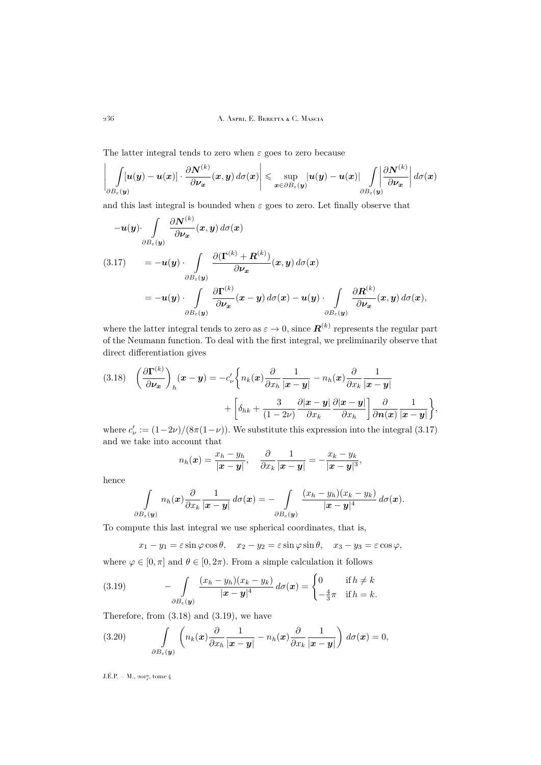The latter integral tends to zero when  $\varepsilon$  goes to zero because

$$
\left|\int_{\partial B_{\varepsilon}(\boldsymbol{y})} [u(\boldsymbol{y}) - u(\boldsymbol{x})] \cdot \frac{\partial \boldsymbol{N}^{(k)}}{\partial \boldsymbol{\nu}_{\boldsymbol{x}}}(\boldsymbol{x}, \boldsymbol{y}) d\sigma(\boldsymbol{x})\right| \leqslant \sup_{\boldsymbol{x} \in \partial B_{\varepsilon}(\boldsymbol{y})} |u(\boldsymbol{y}) - u(\boldsymbol{x})| \int_{\partial B_{\varepsilon}(\boldsymbol{y})} \left|\frac{\partial \boldsymbol{N}^{(k)}}{\partial \boldsymbol{\nu}_{\boldsymbol{x}}} \right| d\sigma(\boldsymbol{x})
$$

and this last integral is bounded when  $\varepsilon$  goes to zero. Let finally observe that

<span id="page-14-0"></span>
$$
-u(y)\cdot \int_{\partial B_{\varepsilon}(y)} \frac{\partial N^{(k)}}{\partial \nu_{x}}(x, y) d\sigma(x)
$$
  
\n
$$
(3.17) \qquad = -u(y)\cdot \int_{\partial B_{\varepsilon}(y)} \frac{\partial (\Gamma^{(k)} + R^{(k)})}{\partial \nu_{x}}(x, y) d\sigma(x)
$$
  
\n
$$
= -u(y)\cdot \int_{\partial B_{\varepsilon}(y)} \frac{\partial \Gamma^{(k)}}{\partial \nu_{x}}(x - y) d\sigma(x) - u(y)\cdot \int_{\partial B_{\varepsilon}(y)} \frac{\partial R^{(k)}}{\partial \nu_{x}}(x, y) d\sigma(x),
$$

where the latter integral tends to zero as  $\varepsilon \to 0$ , since  $\boldsymbol{R}^{(k)}$  represents the regular part of the Neumann function. To deal with the first integral, we preliminarily observe that direct differentiation gives

<span id="page-14-1"></span>(3.18) 
$$
\left(\frac{\partial \mathbf{\Gamma}^{(k)}}{\partial \mathbf{v_x}}\right)_h (\mathbf{x} - \mathbf{y}) = -c'_\nu \left\{ n_k(\mathbf{x}) \frac{\partial}{\partial x_h} \frac{1}{|\mathbf{x} - \mathbf{y}|} - n_h(\mathbf{x}) \frac{\partial}{\partial x_k} \frac{1}{|\mathbf{x} - \mathbf{y}|} + \left[ \delta_{hk} + \frac{3}{(1 - 2\nu)} \frac{\partial |\mathbf{x} - \mathbf{y}|}{\partial x_k} \frac{\partial |\mathbf{x} - \mathbf{y}|}{\partial x_h} \right] \frac{\partial}{\partial n(\mathbf{x})} \frac{1}{|\mathbf{x} - \mathbf{y}|} \right\},
$$

where  $c'_{\nu} := (1 - 2\nu)/(8\pi(1 - \nu))$ . We substitute this expression into the integral [\(3.17\)](#page-14-0) and we take into account that

$$
n_h(\boldsymbol{x}) = \frac{x_h - y_h}{|\boldsymbol{x} - \boldsymbol{y}|}, \quad \frac{\partial}{\partial x_k} \frac{1}{|\boldsymbol{x} - \boldsymbol{y}|} = -\frac{x_k - y_k}{|\boldsymbol{x} - \boldsymbol{y}|^3},
$$

hence

$$
\int\limits_{\partial B_{\varepsilon}(\boldsymbol{y})}n_h(\boldsymbol{x})\frac{\partial}{\partial x_k}\frac{1}{|\boldsymbol{x}-\boldsymbol{y}|}\,d\sigma(\boldsymbol{x})=-\int\limits_{\partial B_{\varepsilon}(\boldsymbol{y})}\frac{(x_h-y_h)(x_k-y_k)}{|\boldsymbol{x}-\boldsymbol{y}|^4}\,d\sigma(\boldsymbol{x}).
$$

To compute this last integral we use spherical coordinates, that is,

<span id="page-14-2"></span>
$$
x_1 - y_1 = \varepsilon \sin \varphi \cos \theta, \quad x_2 - y_2 = \varepsilon \sin \varphi \sin \theta, \quad x_3 - y_3 = \varepsilon \cos \varphi,
$$

where  $\varphi \in [0, \pi]$  and  $\theta \in [0, 2\pi)$ . From a simple calculation it follows

(3.19) 
$$
- \int_{\partial B_{\varepsilon}(\mathbf{y})} \frac{(x_h - y_h)(x_k - y_k)}{|\mathbf{x} - \mathbf{y}|^4} d\sigma(\mathbf{x}) = \begin{cases} 0 & \text{if } h \neq k \\ -\frac{4}{3}\pi & \text{if } h = k. \end{cases}
$$

Therefore, from [\(3.18\)](#page-14-1) and [\(3.19\)](#page-14-2), we have

(3.20) 
$$
\int\limits_{\partial B_{\varepsilon}(\boldsymbol{y})} \left( n_k(\boldsymbol{x}) \frac{\partial}{\partial x_h} \frac{1}{|\boldsymbol{x} - \boldsymbol{y}|} - n_h(\boldsymbol{x}) \frac{\partial}{\partial x_k} \frac{1}{|\boldsymbol{x} - \boldsymbol{y}|} \right) d\sigma(\boldsymbol{x}) = 0,
$$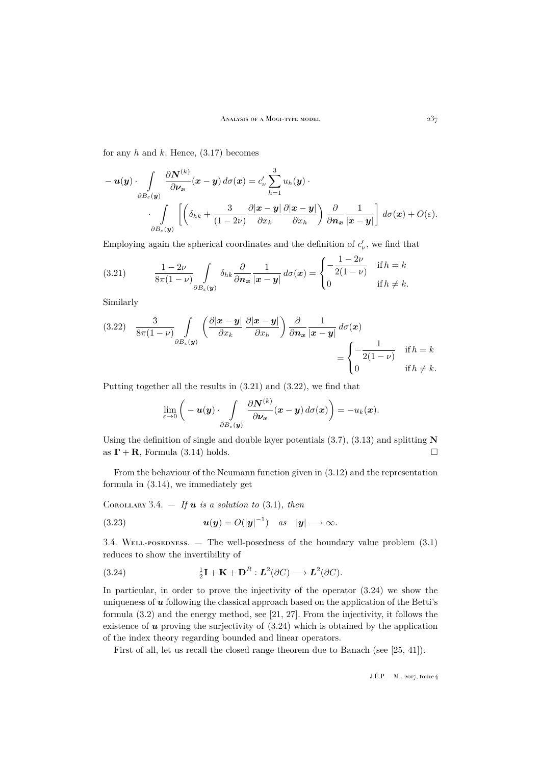for any  $h$  and  $k$ . Hence,  $(3.17)$  becomes

$$
-u(y) \cdot \int_{\partial B_{\varepsilon}(y)} \frac{\partial N^{(k)}}{\partial \nu_{x}}(x-y) d\sigma(x) = c'_{\nu} \sum_{h=1}^{3} u_{h}(y) \cdot \int_{\partial B_{\varepsilon}(y)} \left[ \left( \delta_{hk} + \frac{3}{(1-2\nu)} \frac{\partial |x-y|}{\partial x_{k}} \frac{\partial |x-y|}{\partial x_{h}} \right) \frac{\partial}{\partial n_{x}} \frac{1}{|x-y|} \right] d\sigma(x) + O(\varepsilon).
$$

Employing again the spherical coordinates and the definition of  $c'_{\nu}$ , we find that

<span id="page-15-0"></span>(3.21) 
$$
\frac{1-2\nu}{8\pi(1-\nu)}\int\limits_{\partial B_{\varepsilon}(\mathbf{y})}\delta_{hk}\frac{\partial}{\partial \mathbf{n}_{\mathbf{x}}}\frac{1}{|\mathbf{x}-\mathbf{y}|}d\sigma(\mathbf{x})=\begin{cases}\n-\frac{1-2\nu}{2(1-\nu)} & \text{if } h=k \\
0 & \text{if } h\neq k.\n\end{cases}
$$

Similarly

<span id="page-15-1"></span>
$$
(3.22) \quad \frac{3}{8\pi(1-\nu)} \int\limits_{\partial B_{\varepsilon}(\mathbf{y})} \left( \frac{\partial |\mathbf{x}-\mathbf{y}|}{\partial x_k} \frac{\partial |\mathbf{x}-\mathbf{y}|}{\partial x_h} \right) \frac{\partial}{\partial \mathbf{n_x}} \frac{1}{|\mathbf{x}-\mathbf{y}|} d\sigma(\mathbf{x})
$$

$$
= \begin{cases} -\frac{1}{2(1-\nu)} & \text{if } h=k\\ 0 & \text{if } h \neq k. \end{cases}
$$

Putting together all the results in [\(3.21\)](#page-15-0) and [\(3.22\)](#page-15-1), we find that

$$
\lim_{\varepsilon\to 0}\bigg(-\boldsymbol{u}(\boldsymbol{y})\cdot \int\limits_{\partial B_\varepsilon(\boldsymbol{y})}\frac{\partial \boldsymbol{N}^{(k)}}{\partial \boldsymbol{\nu}_{\boldsymbol{x}}}(\boldsymbol{x}-\boldsymbol{y})\,d\sigma(\boldsymbol{x})\bigg)=-u_k(\boldsymbol{x}).
$$

Using the definition of single and double layer potentials  $(3.7)$ ,  $(3.13)$  and splitting N as  $\Gamma + \mathbf{R}$ , Formula [\(3.14\)](#page-11-1) holds.

From the behaviour of the Neumann function given in [\(3.12\)](#page-11-3) and the representation formula in [\(3.14\)](#page-11-1), we immediately get

<span id="page-15-3"></span>COROLLARY 3.4.  $-$  *If*  $u$  *is a solution to* [\(3.1\)](#page-8-0)*, then* 

(3.23) 
$$
u(y) = O(|y|^{-1}) \quad \text{as} \quad |y| \longrightarrow \infty.
$$

3.4. Well-posedness. — The well-posedness of the boundary value problem [\(3.1\)](#page-8-0) reduces to show the invertibility of

<span id="page-15-2"></span>(3.24) 
$$
\frac{1}{2}\mathbf{I} + \mathbf{K} + \mathbf{D}^R : L^2(\partial C) \longrightarrow L^2(\partial C).
$$

In particular, in order to prove the injectivity of the operator [\(3.24\)](#page-15-2) we show the uniqueness of  $\boldsymbol{u}$  following the classical approach based on the application of the Betti's formula [\(3.2\)](#page-8-1) and the energy method, see [\[21,](#page-32-19) [27\]](#page-32-17). From the injectivity, it follows the existence of  $u$  proving the surjectivity of  $(3.24)$  which is obtained by the application of the index theory regarding bounded and linear operators.

First of all, let us recall the closed range theorem due to Banach (see [\[25,](#page-32-20) [41\]](#page-32-21)).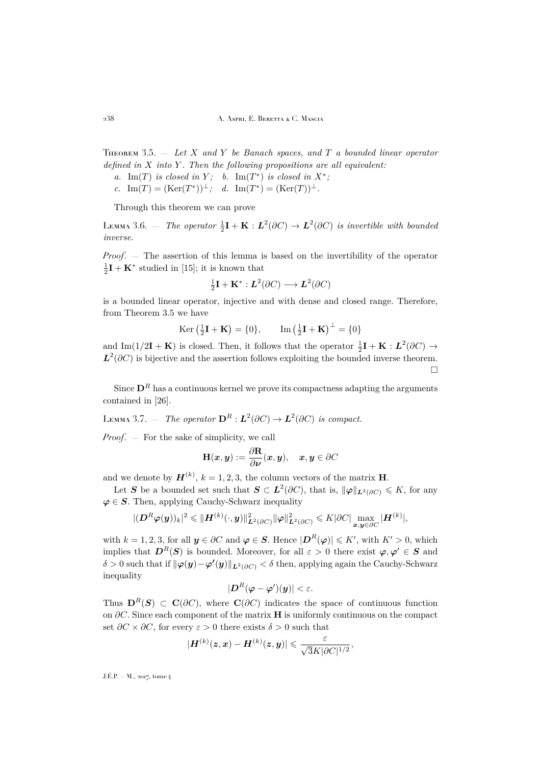<span id="page-16-0"></span>Theorem 3.5. — *Let* X *and* Y *be Banach spaces, and* T *a bounded linear operator defined in* X *into* Y *. Then the following propositions are all equivalent:*

- *a.* Im(T) *is closed in* Y; *b.* Im(T<sup>\*</sup>) *is closed in*  $X^*$ ;
- *c.* Im(T) = (Ker(T<sup>\*</sup>))<sup> $\perp$ </sup>; *d.* Im(T<sup>\*</sup>) = (Ker(T))<sup> $\perp$ </sup>.

Through this theorem we can prove

<span id="page-16-1"></span>LEMMA 3.6.  $-$  The operator  $\frac{1}{2}\mathbf{I} + \mathbf{K} : L^2(\partial C) \to L^2(\partial C)$  is invertible with bounded *inverse.*

*Proof*. — The assertion of this lemma is based on the invertibility of the operator  $\frac{1}{2}\mathbf{I} + \mathbf{K}^*$  studied in [\[15\]](#page-31-15); it is known that

$$
\frac{1}{2}\mathbf{I} + \mathbf{K}^* : \mathbf{L}^2(\partial C) \longrightarrow \mathbf{L}^2(\partial C)
$$

is a bounded linear operator, injective and with dense and closed range. Therefore, from Theorem [3.5](#page-16-0) we have

$$
\text{Ker}\left(\frac{1}{2}\mathbf{I} + \mathbf{K}\right) = \{0\}, \qquad \text{Im}\left(\frac{1}{2}\mathbf{I} + \mathbf{K}\right)^\perp = \{0\}
$$

and Im(1/2**I** + **K**) is closed. Then, it follows that the operator  $\frac{1}{2}$ **I** + **K** :  $L^2(\partial C)$   $\rightarrow$  $L^2(\partial C)$  is bijective and the assertion follows exploiting the bounded inverse theorem.  $\Box$ 

Since  $\mathbf{D}^R$  has a continuous kernel we prove its compactness adapting the arguments contained in [\[26\]](#page-32-22).

<span id="page-16-2"></span>LEMMA 3.7.  $-$  *The operator*  $\mathbf{D}^R : L^2(\partial C) \to L^2(\partial C)$  *is compact.* 

*Proof*. — For the sake of simplicity, we call

$$
\mathbf{H}(\boldsymbol{x},\boldsymbol{y}):=\frac{\partial \mathbf{R}}{\partial \boldsymbol{\nu}}(\boldsymbol{x},\boldsymbol{y}),\quad \boldsymbol{x},\boldsymbol{y}\in\partial C
$$

and we denote by  $\boldsymbol{H}^{(k)}$ ,  $k = 1, 2, 3$ , the column vectors of the matrix **H**.

Let S be a bounded set such that  $S \subset L^2(\partial C)$ , that is,  $\|\varphi\|_{L^2(\partial C)} \leqslant K$ , for any  $\varphi \in S$ . Then, applying Cauchy-Schwarz inequality

$$
|(\boldsymbol{D}^R\boldsymbol{\varphi}(\boldsymbol{y}))_k|^2 \leqslant \|\boldsymbol{H}^{(k)}(\cdot,\boldsymbol{y})\|_{\boldsymbol{L}^2(\partial C)}^2\|\boldsymbol{\varphi}\|_{\boldsymbol{L}^2(\partial C)}^2 \leqslant K|\partial C|\max_{\boldsymbol{x},\boldsymbol{y}\in\partial C}|\boldsymbol{H}^{(k)}|,
$$

with  $k = 1, 2, 3$ , for all  $y \in \partial C$  and  $\varphi \in S$ . Hence  $|D^R(\varphi)| \leqslant K'$ , with  $K' > 0$ , which implies that  $D^R(S)$  is bounded. Moreover, for all  $\varepsilon > 0$  there exist  $\varphi, \varphi' \in S$  and  $\delta > 0$  such that if  $\|\varphi(\bm{y}) - \varphi'(\bm{y})\|_{\bm{L}^2(\partial C)} < \delta$  then, applying again the Cauchy-Schwarz inequality

$$
|{\boldsymbol D}^R({\boldsymbol \varphi}-{\boldsymbol \varphi}')({\boldsymbol y})|<\varepsilon.
$$

Thus  $\mathbf{D}^R(\mathbf{S}) \subset \mathbf{C}(\partial C)$ , where  $\mathbf{C}(\partial C)$  indicates the space of continuous function on  $\partial C$ . Since each component of the matrix **H** is uniformly continuous on the compact set  $\partial C \times \partial C$ , for every  $\varepsilon > 0$  there exists  $\delta > 0$  such that

$$
|\boldsymbol H^{(k)}(\boldsymbol z, \boldsymbol x) - \boldsymbol H^{(k)}(\boldsymbol z, \boldsymbol y)| \leqslant \frac{\varepsilon}{\sqrt{3}K |\partial C|^{1/2}},
$$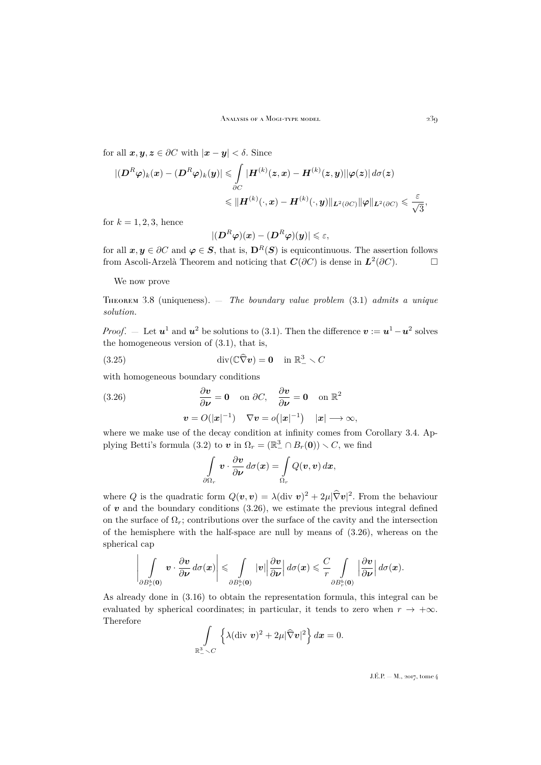for all  $x, y, z \in \partial C$  with  $|x - y| < \delta$ . Since

$$
\begin{aligned} |(\boldsymbol{D}^R\boldsymbol{\varphi})_k(\boldsymbol{x})-(\boldsymbol{D}^R\boldsymbol{\varphi})_k(\boldsymbol{y})|\leqslant&\int\limits_{\partial C}|{\boldsymbol{H}}^{(k)}(\boldsymbol{z},\boldsymbol{x})-{\boldsymbol{H}}^{(k)}(\boldsymbol{z},\boldsymbol{y})||\boldsymbol{\varphi}(\boldsymbol{z})|\,d\sigma(\boldsymbol{z})\\ \leqslant&\|{\boldsymbol{H}}^{(k)}(\cdot,\boldsymbol{x})-{\boldsymbol{H}}^{(k)}(\cdot,\boldsymbol{y})\|_{\boldsymbol{L}^2(\partial C)}\|\boldsymbol{\varphi}\|_{\boldsymbol{L}^2(\partial C)}\leqslant\frac{\varepsilon}{\sqrt{3}}, \end{aligned}
$$

for  $k = 1, 2, 3$ , hence

$$
|(\boldsymbol{D}^R\boldsymbol{\varphi})(\boldsymbol{x})-(\boldsymbol{D}^R\boldsymbol{\varphi})(\boldsymbol{y})|\leqslant \varepsilon,
$$

for all  $x, y \in \partial C$  and  $\varphi \in S$ , that is,  $\mathbf{D}^R(S)$  is equicontinuous. The assertion follows from Ascoli-Arzelà Theorem and noticing that  $\mathbf{C}(\partial C)$  is dense in  $\mathbf{L}^2(\partial C)$ .

We now prove

<span id="page-17-2"></span>Theorem 3.8 (uniqueness). — *The boundary value problem* [\(3.1\)](#page-8-0) *admits a unique solution.*

*Proof.*  $-$  Let  $\mathbf{u}^1$  and  $\mathbf{u}^2$  be solutions to [\(3.1\)](#page-8-0). Then the difference  $\mathbf{v} := \mathbf{u}^1 - \mathbf{u}^2$  solves the homogeneous version of [\(3.1\)](#page-8-0), that is,

(3.25) 
$$
\operatorname{div}(\mathbb{C}\widehat{\nabla}\boldsymbol{v}) = \mathbf{0} \quad \text{in } \mathbb{R}^3_- \setminus C
$$

with homogeneous boundary conditions

(3.26) 
$$
\frac{\partial v}{\partial \nu} = 0 \text{ on } \partial C, \quad \frac{\partial v}{\partial \nu} = 0 \text{ on } \mathbb{R}^2
$$

$$
v = O(|x|^{-1}) \quad \nabla v = o(|x|^{-1}) \quad |x| \to \infty,
$$

where we make use of the decay condition at infinity comes from Corollary [3.4.](#page-15-3) Ap-plying Betti's formula [\(3.2\)](#page-8-1) to  $\mathbf{v}$  in  $\Omega_r = (\mathbb{R}^3_-\cap B_r(\mathbf{0})) \setminus C$ , we find

<span id="page-17-1"></span><span id="page-17-0"></span>
$$
\int\limits_{\partial\Omega_r} \boldsymbol{v} \cdot \frac{\partial \boldsymbol{v}}{\partial \boldsymbol{\nu}} d\sigma(\boldsymbol{x}) = \int\limits_{\Omega_r} Q(\boldsymbol{v}, \boldsymbol{v}) d\boldsymbol{x},
$$

where Q is the quadratic form  $Q(v, v) = \lambda (\text{div } v)^2 + 2\mu |\nabla v|^2$ . From the behaviour of  $v$  and the boundary conditions  $(3.26)$ , we estimate the previous integral defined on the surface of  $\Omega_r$ ; contributions over the surface of the cavity and the intersection of the hemisphere with the half-space are null by means of  $(3.26)$ , whereas on the spherical cap

$$
\left|\int_{\partial B_r^b(\mathbf{0})} \boldsymbol{v} \cdot \frac{\partial \boldsymbol{v}}{\partial \boldsymbol{\nu}} d\sigma(\boldsymbol{x})\right| \leq \int_{\partial B_r^b(\mathbf{0})} |\boldsymbol{v}|\left|\frac{\partial \boldsymbol{v}}{\partial \boldsymbol{\nu}}\right| d\sigma(\boldsymbol{x}) \leqslant \frac{C}{r} \int_{\partial B_r^b(\mathbf{0})} \left|\frac{\partial \boldsymbol{v}}{\partial \boldsymbol{\nu}}\right| d\sigma(\boldsymbol{x}).
$$

As already done in [\(3.16\)](#page-13-0) to obtain the representation formula, this integral can be evaluated by spherical coordinates; in particular, it tends to zero when  $r \to +\infty$ . Therefore

$$
\int\limits_{\mathbb{R}^3_-\setminus C}\left\{\lambda(\text{div } \boldsymbol{v})^2+2\mu|\widehat{\nabla} \boldsymbol{v}|^2\right\}d\boldsymbol{x}=0.
$$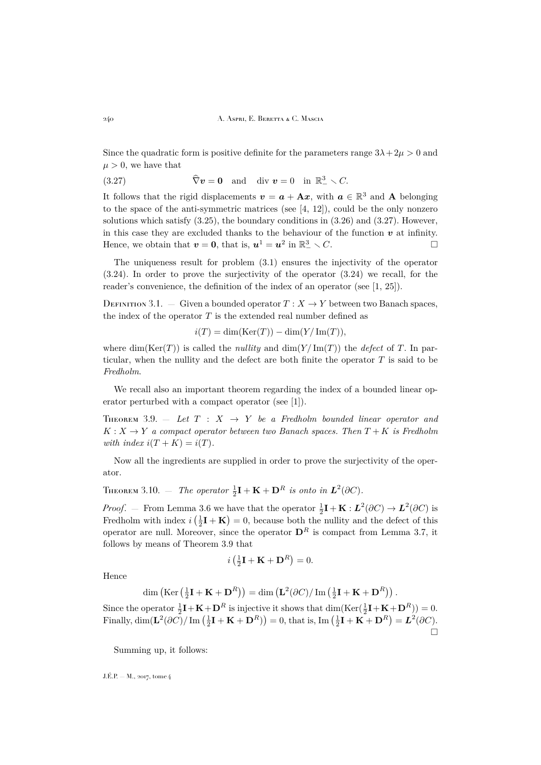Since the quadratic form is positive definite for the parameters range  $3\lambda + 2\mu > 0$  and  $\mu > 0$ , we have that

<span id="page-18-0"></span>(3.27) 
$$
\widehat{\nabla} \mathbf{v} = \mathbf{0} \text{ and } \operatorname{div} \mathbf{v} = 0 \text{ in } \mathbb{R}^3 \setminus C.
$$

It follows that the rigid displacements  $v = a + \mathbf{A}x$ , with  $a \in \mathbb{R}^3$  and **A** belonging to the space of the anti-symmetric matrices (see  $[4, 12]$  $[4, 12]$  $[4, 12]$ ), could be the only nonzero solutions which satisfy  $(3.25)$ , the boundary conditions in  $(3.26)$  and  $(3.27)$ . However, in this case they are excluded thanks to the behaviour of the function  $v$  at infinity. Hence, we obtain that  $\mathbf{v} = \mathbf{0}$ , that is,  $\mathbf{u}^1 = \mathbf{u}^2$  in  $\mathbb{R}^3_- \setminus C$ .

The uniqueness result for problem [\(3.1\)](#page-8-0) ensures the injectivity of the operator [\(3.24\)](#page-15-2). In order to prove the surjectivity of the operator [\(3.24\)](#page-15-2) we recall, for the reader's convenience, the definition of the index of an operator (see [\[1,](#page-31-17) [25\]](#page-32-20)).

DEFINITION 3.1. — Given a bounded operator  $T : X \to Y$  between two Banach spaces, the index of the operator  $T$  is the extended real number defined as

 $i(T) = \dim(\text{Ker}(T)) - \dim(Y/\text{Im}(T)),$ 

where dim(Ker(T)) is called the *nullity* and  $\dim(Y/\mathrm{Im}(T))$  the *defect* of T. In particular, when the nullity and the defect are both finite the operator  $T$  is said to be *Fredholm*.

We recall also an important theorem regarding the index of a bounded linear operator perturbed with a compact operator (see [\[1\]](#page-31-17)).

<span id="page-18-1"></span>THEOREM 3.9.  $-$  *Let*  $T : X \rightarrow Y$  *be a Fredholm bounded linear operator and*  $K: X \to Y$  *a compact operator between two Banach spaces. Then*  $T + K$  *is Fredholm with index*  $i(T + K) = i(T)$ .

Now all the ingredients are supplied in order to prove the surjectivity of the operator.

<span id="page-18-2"></span>THEOREM 3.10. — *The operator*  $\frac{1}{2}\mathbf{I} + \mathbf{K} + \mathbf{D}^R$  *is onto in*  $\mathbf{L}^2(\partial C)$ *.* 

*Proof.* – From Lemma [3.6](#page-16-1) we have that the operator  $\frac{1}{2}\mathbf{I} + \mathbf{K} : L^2(\partial C) \to L^2(\partial C)$  is Fredholm with index  $i\left(\frac{1}{2}\mathbf{I} + \mathbf{K}\right) = 0$ , because both the nullity and the defect of this operator are null. Moreover, since the operator  $\mathbf{D}^R$  is compact from Lemma [3.7,](#page-16-2) it follows by means of Theorem [3.9](#page-18-1) that

$$
i\left(\frac{1}{2}\mathbf{I} + \mathbf{K} + \mathbf{D}^R\right) = 0.
$$

Hence

$$
\dim\left(\mathrm{Ker}\left(\tfrac{1}{2}\mathbf{I} + \mathbf{K} + \mathbf{D}^R\right)\right) = \dim\left(\mathbf{L}^2(\partial C)/\mathrm{Im}\left(\tfrac{1}{2}\mathbf{I} + \mathbf{K} + \mathbf{D}^R\right)\right).
$$

Since the operator  $\frac{1}{2}\mathbf{I} + \mathbf{K} + \mathbf{D}^R$  is injective it shows that  $\dim(\text{Ker}(\frac{1}{2}\mathbf{I} + \mathbf{K} + \mathbf{D}^R)) = 0$ . Finally,  $\dim(\mathbf{L}^2(\partial C)/\operatorname{Im}(\frac{1}{2}\mathbf{I} + \mathbf{K} + \mathbf{D}^R)) = 0$ , that is,  $\operatorname{Im}(\frac{1}{2}\mathbf{I} + \mathbf{K} + \mathbf{D}^R) = \mathbf{L}^2(\partial C)$ .  $\Box$ 

Summing up, it follows: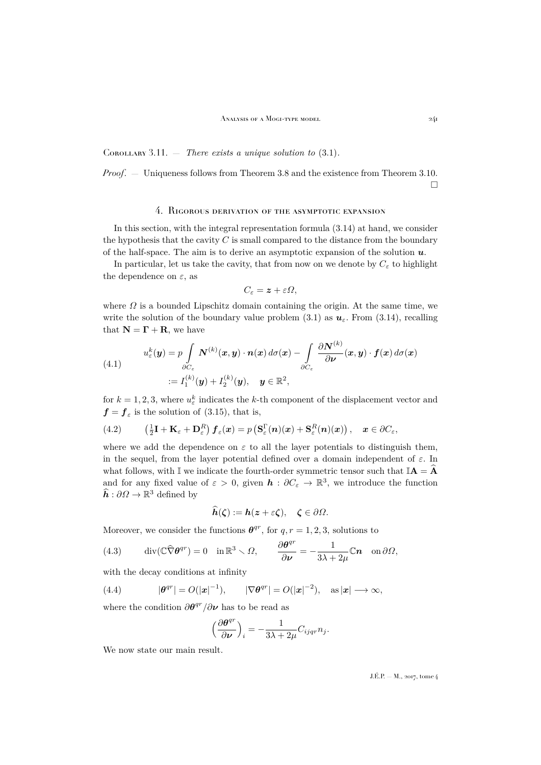Corollary 3.11. — *There exists a unique solution to* [\(3.1\)](#page-8-0)*.*

*Proof*. — Uniqueness follows from Theorem [3.8](#page-17-2) and the existence from Theorem [3.10.](#page-18-2)  $\Box$ 

## 4. Rigorous derivation of the asymptotic expansion

<span id="page-19-0"></span>In this section, with the integral representation formula [\(3.14\)](#page-11-1) at hand, we consider the hypothesis that the cavity  $C$  is small compared to the distance from the boundary of the half-space. The aim is to derive an asymptotic expansion of the solution  $u$ .

In particular, let us take the cavity, that from now on we denote by  $C_{\varepsilon}$  to highlight the dependence on  $\varepsilon$ , as

$$
C_{\varepsilon} = \boldsymbol{z} + \varepsilon \boldsymbol{\Omega},
$$

where  $\Omega$  is a bounded Lipschitz domain containing the origin. At the same time, we write the solution of the boundary value problem  $(3.1)$  as  $u_{\varepsilon}$ . From  $(3.14)$ , recalling that  $N = \Gamma + R$ , we have

<span id="page-19-4"></span>(4.1) 
$$
u_{\varepsilon}^{k}(\mathbf{y}) = p \int_{\partial C_{\varepsilon}} N^{(k)}(\mathbf{x}, \mathbf{y}) \cdot n(\mathbf{x}) d\sigma(\mathbf{x}) - \int_{\partial C_{\varepsilon}} \frac{\partial N^{(k)}}{\partial \mathbf{v}}(\mathbf{x}, \mathbf{y}) \cdot \mathbf{f}(\mathbf{x}) d\sigma(\mathbf{x})
$$

$$
:= I_{1}^{(k)}(\mathbf{y}) + I_{2}^{(k)}(\mathbf{y}), \quad \mathbf{y} \in \mathbb{R}^{2},
$$

for  $k = 1, 2, 3$ , where  $u_{\varepsilon}^k$  indicates the k-th component of the displacement vector and  $f = f_{\varepsilon}$  is the solution of [\(3.15\)](#page-11-4), that is,

<span id="page-19-3"></span>(4.2) 
$$
\left(\frac{1}{2}\mathbf{I} + \mathbf{K}_{\varepsilon} + \mathbf{D}_{\varepsilon}^{R}\right)\boldsymbol{f}_{\varepsilon}(\boldsymbol{x}) = p\left(\mathbf{S}_{\varepsilon}^{\Gamma}(\boldsymbol{n})(\boldsymbol{x}) + \mathbf{S}_{\varepsilon}^{R}(\boldsymbol{n})(\boldsymbol{x})\right), \quad \boldsymbol{x} \in \partial C_{\varepsilon},
$$

where we add the dependence on  $\varepsilon$  to all the layer potentials to distinguish them, in the sequel, from the layer potential defined over a domain independent of  $\varepsilon$ . In what follows, with I we indicate the fourth-order symmetric tensor such that  $\mathbb{I}$ **A** = **A** and for any fixed value of  $\varepsilon > 0$ , given  $\mathbf{h} : \partial C_{\varepsilon} \to \mathbb{R}^3$ , we introduce the function  $\widehat{h}: \partial\Omega \to \mathbb{R}^3$  defined by

$$
h(\zeta) := h(z + \varepsilon \zeta), \quad \zeta \in \partial \Omega.
$$

Moreover, we consider the functions  $\theta^{qr}$ , for  $q, r = 1, 2, 3$ , solutions to

<span id="page-19-1"></span>(4.3) 
$$
\operatorname{div}(\mathbb{C}\widehat{\nabla}\theta^{qr})=0 \quad \text{in } \mathbb{R}^3 \setminus \Omega, \qquad \frac{\partial \theta^{qr}}{\partial \nu}=-\frac{1}{3\lambda+2\mu}\mathbb{C}n \quad \text{on } \partial\Omega,
$$

with the decay conditions at infinity

<span id="page-19-2"></span>(4.4) 
$$
|\boldsymbol{\theta}^{qr}| = O(|\boldsymbol{x}|^{-1}), \qquad |\nabla \boldsymbol{\theta}^{qr}| = O(|\boldsymbol{x}|^{-2}), \quad \text{as } |\boldsymbol{x}| \longrightarrow \infty,
$$

where the condition  $\partial \theta^{qr} / \partial \nu$  has to be read as

$$
\Big(\frac{\partial \theta^{qr}}{\partial \nu}\Big)_i = -\frac{1}{3\lambda + 2\mu} C_{ijqr} n_j.
$$

We now state our main result.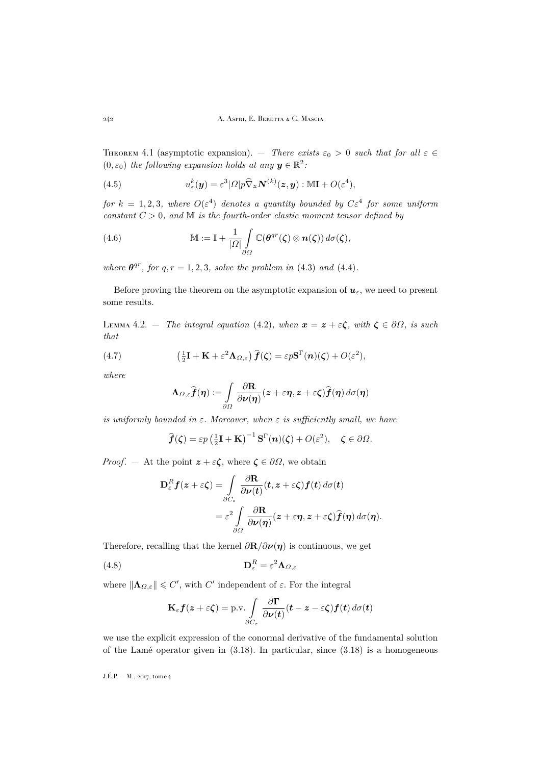<span id="page-20-0"></span>THEOREM 4.1 (asymptotic expansion). — *There exists*  $\varepsilon_0 > 0$  *such that for all*  $\varepsilon \in$  $(0, \varepsilon_0)$  the following expansion holds at any  $y \in \mathbb{R}^2$ .

<span id="page-20-4"></span>(4.5) 
$$
u_{\varepsilon}^{k}(\boldsymbol{y}) = \varepsilon^{3} |\Omega| p \widehat{\nabla}_{\boldsymbol{z}} \boldsymbol{N}^{(k)}(\boldsymbol{z}, \boldsymbol{y}) : \mathbb{M} \mathbf{I} + O(\varepsilon^{4}),
$$

*for*  $k = 1, 2, 3$ , where  $O(\varepsilon^4)$  denotes a quantity bounded by  $C\varepsilon^4$  for some uniform *constant*  $C > 0$ *, and*  $M$  *is the fourth-order elastic moment tensor defined by* 

<span id="page-20-5"></span>(4.6) 
$$
\mathbb{M} := \mathbb{I} + \frac{1}{|\Omega|} \int_{\partial \Omega} \mathbb{C}(\boldsymbol{\theta}^{qr}(\boldsymbol{\zeta}) \otimes \boldsymbol{n}(\boldsymbol{\zeta})) d\sigma(\boldsymbol{\zeta}),
$$

*where*  $\theta^{qr}$ *, for*  $q, r = 1, 2, 3$ *, solve the problem in* [\(4.3\)](#page-19-1) *and* [\(4.4\)](#page-19-2)*.* 

Before proving the theorem on the asymptotic expansion of  $u_{\varepsilon}$ , we need to present some results.

<span id="page-20-3"></span>LEMMA 4.2. — *The integral equation* [\(4.2\)](#page-19-3)*, when*  $\mathbf{x} = \mathbf{z} + \varepsilon \boldsymbol{\zeta}$ *, with*  $\boldsymbol{\zeta} \in \partial \Omega$ *, is such that*

(4.7) 
$$
\left(\frac{1}{2}\mathbf{I} + \mathbf{K} + \varepsilon^2 \mathbf{\Lambda}_{\Omega,\varepsilon}\right)\hat{\boldsymbol{f}}(\boldsymbol{\zeta}) = \varepsilon p \mathbf{S}^{\Gamma}(\boldsymbol{n})(\boldsymbol{\zeta}) + O(\varepsilon^2),
$$

*where*

<span id="page-20-1"></span>
$$
\boldsymbol{\Lambda}_{\varOmega,\varepsilon}\widehat{\boldsymbol{f}}(\boldsymbol{\eta}) := \int\limits_{\partial\varOmega}\frac{\partial \mathbf{R}}{\partial\boldsymbol{\nu}(\boldsymbol{\eta})}(\boldsymbol{z}+\varepsilon\boldsymbol{\eta},\boldsymbol{z}+\varepsilon\boldsymbol{\zeta})\widehat{\boldsymbol{f}}(\boldsymbol{\eta})\,d\sigma(\boldsymbol{\eta})
$$

*is uniformly bounded in*  $\varepsilon$ *. Moreover, when*  $\varepsilon$  *is sufficiently small, we have* 

$$
\widehat{f}(\zeta) = \varepsilon p \left(\frac{1}{2}\mathbf{I} + \mathbf{K}\right)^{-1} \mathbf{S}^{\Gamma}(n)(\zeta) + O(\varepsilon^2), \quad \zeta \in \partial \Omega.
$$

*Proof.* — At the point  $z + \varepsilon \zeta$ , where  $\zeta \in \partial \Omega$ , we obtain

$$
\mathbf{D}_{\varepsilon}^{R} f(z+\varepsilon\zeta) = \int_{\partial C_{\varepsilon}} \frac{\partial \mathbf{R}}{\partial \nu(t)}(t, z+\varepsilon\zeta) f(t) d\sigma(t) \n= \varepsilon^{2} \int_{\partial \Omega} \frac{\partial \mathbf{R}}{\partial \nu(\eta)}(z+\varepsilon\eta, z+\varepsilon\zeta) \widehat{f}(\eta) d\sigma(\eta).
$$

Therefore, recalling that the kernel  $\frac{\partial \mathbf{R}}{\partial \nu}(\eta)$  is continuous, we get

(4.8) 
$$
\mathbf{D}_{\varepsilon}^{R} = \varepsilon^{2} \mathbf{\Lambda}_{\Omega, \varepsilon}
$$

where  $\|\mathbf{\Lambda}_{\Omega,\varepsilon}\| \leqslant C'$ , with  $C'$  independent of  $\varepsilon$ . For the integral

<span id="page-20-2"></span>
$$
\mathbf{K}_{\varepsilon} \mathbf{f}(\mathbf{z} + \varepsilon \boldsymbol{\zeta}) = \text{p.v.} \int_{\partial C_{\varepsilon}} \frac{\partial \mathbf{\Gamma}}{\partial \mathbf{\nu}(t)} (\mathbf{t} - \mathbf{z} - \varepsilon \boldsymbol{\zeta}) \mathbf{f}(\mathbf{t}) d\sigma(\mathbf{t})
$$

we use the explicit expression of the conormal derivative of the fundamental solution of the Lamé operator given in [\(3.18\)](#page-14-1). In particular, since [\(3.18\)](#page-14-1) is a homogeneous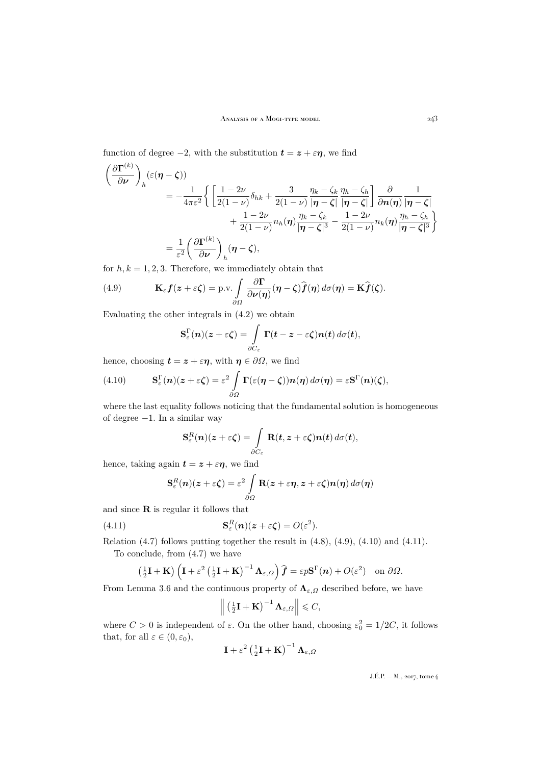function of degree  $-2$ , with the substitution  $t = z + \varepsilon \eta$ , we find

$$
\left(\frac{\partial \Gamma^{(k)}}{\partial \nu}\right)_h (\varepsilon(\eta - \zeta))
$$
\n
$$
= -\frac{1}{4\pi\varepsilon^2} \left\{ \left[ \frac{1 - 2\nu}{2(1 - \nu)} \delta_{hk} + \frac{3}{2(1 - \nu)} \frac{\eta_k - \zeta_k}{|\eta - \zeta|} \frac{\eta_h - \zeta_h}{|\eta - \zeta|} \right] \frac{\partial}{\partial n(\eta)} \frac{1}{|\eta - \zeta|} + \frac{1 - 2\nu}{2(1 - \nu)} n_h(\eta) \frac{\eta_k - \zeta_k}{|\eta - \zeta|^3} - \frac{1 - 2\nu}{2(1 - \nu)} n_k(\eta) \frac{\eta_h - \zeta_h}{|\eta - \zeta|^3} \right\}
$$
\n
$$
= \frac{1}{\varepsilon^2} \left( \frac{\partial \Gamma^{(k)}}{\partial \nu} \right)_h (\eta - \zeta),
$$

for  $h, k = 1, 2, 3$ . Therefore, we immediately obtain that

<span id="page-21-0"></span>(4.9) 
$$
\mathbf{K}_{\varepsilon} \mathbf{f}(\mathbf{z} + \varepsilon \zeta) = \text{p.v.} \int_{\partial \Omega} \frac{\partial \mathbf{\Gamma}}{\partial \nu(\eta)} (\eta - \zeta) \widehat{\mathbf{f}}(\eta) d\sigma(\eta) = \mathbf{K} \widehat{\mathbf{f}}(\zeta).
$$

Evaluating the other integrals in [\(4.2\)](#page-19-3) we obtain

$$
\mathbf{S}_{\varepsilon}^{\Gamma}(n)(z+\varepsilon\zeta)=\int_{\partial C_{\varepsilon}}\Gamma(t-z-\varepsilon\zeta)n(t)\,d\sigma(t),
$$

hence, choosing  $t = z + \varepsilon \eta$ , with  $\eta \in \partial \Omega$ , we find

<span id="page-21-1"></span>(4.10) 
$$
\mathbf{S}_{\varepsilon}^{\Gamma}(\boldsymbol{n})(\boldsymbol{z}+\varepsilon\boldsymbol{\zeta})=\varepsilon^{2}\int_{\partial\Omega}\Gamma(\varepsilon(\boldsymbol{\eta}-\boldsymbol{\zeta}))\boldsymbol{n}(\boldsymbol{\eta})\,d\sigma(\boldsymbol{\eta})=\varepsilon\mathbf{S}^{\Gamma}(\boldsymbol{n})(\boldsymbol{\zeta}),
$$

where the last equality follows noticing that the fundamental solution is homogeneous of degree −1. In a similar way

$$
\mathbf{S}_{\varepsilon}^{R}(n)(z+\varepsilon\zeta)=\int_{\partial C_{\varepsilon}}\mathbf{R}(t,z+\varepsilon\zeta)n(t)\,d\sigma(t),
$$

hence, taking again  $t = z + \varepsilon \eta$ , we find

<span id="page-21-2"></span>
$$
\mathbf{S}_{\varepsilon}^{R}(\boldsymbol{n})(\boldsymbol{z}+\varepsilon\boldsymbol{\zeta})=\varepsilon^{2}\int_{\partial\Omega}\mathbf{R}(\boldsymbol{z}+\varepsilon\boldsymbol{\eta},\boldsymbol{z}+\varepsilon\boldsymbol{\zeta})\boldsymbol{n}(\boldsymbol{\eta})\,d\sigma(\boldsymbol{\eta})
$$

and since R is regular it follows that

(4.11) 
$$
\mathbf{S}_{\varepsilon}^{R}(n)(\mathbf{z}+\varepsilon\boldsymbol{\zeta})=O(\varepsilon^{2}).
$$

Relation  $(4.7)$  follows putting together the result in  $(4.8)$ ,  $(4.9)$ ,  $(4.10)$  and  $(4.11)$ .

To conclude, from [\(4.7\)](#page-20-1) we have

$$
\left(\frac{1}{2}\mathbf{I} + \mathbf{K}\right) \left(\mathbf{I} + \varepsilon^2 \left(\frac{1}{2}\mathbf{I} + \mathbf{K}\right)^{-1} \mathbf{\Lambda}_{\varepsilon,\Omega}\right) \widehat{\boldsymbol{f}} = \varepsilon p \mathbf{S}^{\Gamma}(\boldsymbol{n}) + O(\varepsilon^2) \text{ on } \partial \Omega.
$$

From Lemma [3.6](#page-16-1) and the continuous property of  $\Lambda_{\varepsilon,\Omega}$  described before, we have

$$
\left\| \left( \frac{1}{2} \mathbf{I} + \mathbf{K} \right)^{-1} \mathbf{\Lambda}_{\varepsilon, \Omega} \right\| \leqslant C,
$$

where  $C > 0$  is independent of  $\varepsilon$ . On the other hand, choosing  $\varepsilon_0^2 = 1/2C$ , it follows that, for all  $\varepsilon \in (0, \varepsilon_0)$ ,

$$
\mathbf{I} + \varepsilon^2 \left(\frac{1}{2}\mathbf{I} + \mathbf{K}\right)^{-1} \mathbf{\Lambda}_{\varepsilon, \Omega}
$$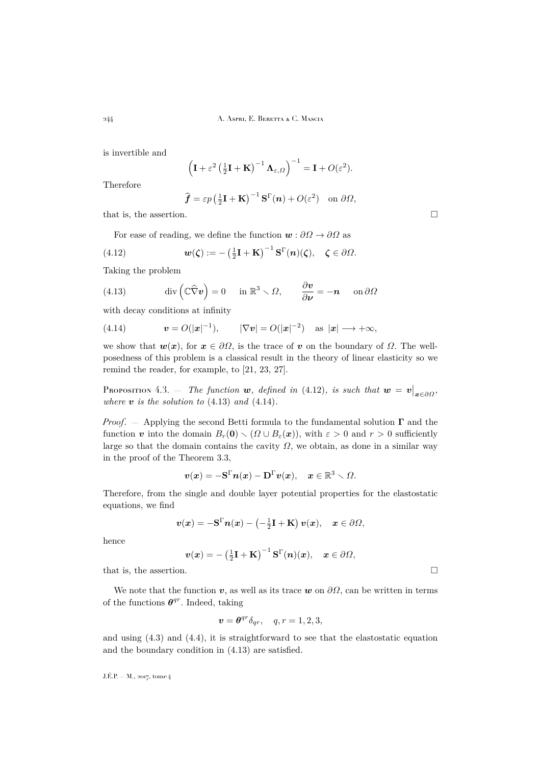244 A. Aspri, E. Beretta & C. Mascia

is invertible and

$$
\left(\mathbf{I} + \varepsilon^2 \left(\frac{1}{2}\mathbf{I} + \mathbf{K}\right)^{-1} \mathbf{\Lambda}_{\varepsilon,\Omega}\right)^{-1} = \mathbf{I} + O(\varepsilon^2).
$$

Therefore

<span id="page-22-0"></span>
$$
\widehat{\boldsymbol{f}} = \varepsilon p \left(\frac{1}{2}\mathbf{I} + \mathbf{K}\right)^{-1} \mathbf{S}^{\Gamma}(\boldsymbol{n}) + O(\varepsilon^2) \text{ on } \partial \Omega,
$$

that is, the assertion.

For ease of reading, we define the function  $\mathbf{w} : \partial \Omega \to \partial \Omega$  as

(4.12) 
$$
\mathbf{w}(\zeta) := -\left(\frac{1}{2}\mathbf{I} + \mathbf{K}\right)^{-1} \mathbf{S}^{\Gamma}(\mathbf{n})(\zeta), \quad \zeta \in \partial \Omega.
$$

Taking the problem

<span id="page-22-1"></span>(4.13) 
$$
\operatorname{div}\left(\mathbb{C}\widehat{\nabla}\mathbf{v}\right) = 0 \quad \text{in } \mathbb{R}^3 \setminus \Omega, \qquad \frac{\partial \mathbf{v}}{\partial \mathbf{v}} = -\mathbf{n} \quad \text{on } \partial\Omega
$$

with decay conditions at infinity

<span id="page-22-2"></span>(4.14) 
$$
\mathbf{v} = O(|\mathbf{x}|^{-1}), \qquad |\nabla \mathbf{v}| = O(|\mathbf{x}|^{-2}) \quad \text{as } |\mathbf{x}| \longrightarrow +\infty,
$$

we show that  $w(x)$ , for  $x \in \partial\Omega$ , is the trace of v on the boundary of  $\Omega$ . The wellposedness of this problem is a classical result in the theory of linear elasticity so we remind the reader, for example, to [\[21,](#page-32-19) [23,](#page-32-14) [27\]](#page-32-17).

PROPOSITION 4.3. — *The function* w, defined in [\(4.12\)](#page-22-0), is such that  $w = v|_{x \in \partial \Omega}$ , *where*  $\boldsymbol{v}$  *is the solution to* [\(4.13\)](#page-22-1) *and* [\(4.14\)](#page-22-2)*.* 

*Proof.* — Applying the second Betti formula to the fundamental solution  $\Gamma$  and the function v into the domain  $B_r(\mathbf{0}) \setminus (\Omega \cup B_{\varepsilon}(\boldsymbol{x}))$ , with  $\varepsilon > 0$  and  $r > 0$  sufficiently large so that the domain contains the cavity  $\Omega$ , we obtain, as done in a similar way in the proof of the Theorem [3.3,](#page-11-2)

$$
\boldsymbol{v}(\boldsymbol{x}) = -\mathbf{S}^{\Gamma}\boldsymbol{n}(\boldsymbol{x}) - \mathbf{D}^{\Gamma}\boldsymbol{v}(\boldsymbol{x}), \quad \boldsymbol{x} \in \mathbb{R}^3 \smallsetminus \varOmega.
$$

Therefore, from the single and double layer potential properties for the elastostatic equations, we find

$$
\boldsymbol{v}(\boldsymbol{x}) = -\mathbf{S}^{\Gamma}\boldsymbol{n}(\boldsymbol{x}) - \left(-\frac{1}{2}\mathbf{I} + \mathbf{K}\right)\boldsymbol{v}(\boldsymbol{x}), \quad \boldsymbol{x} \in \partial\Omega,
$$

hence

$$
\boldsymbol{v}(\boldsymbol{x}) = -\left(\tfrac{1}{2}\mathbf{I} + \mathbf{K}\right)^{-1} \mathbf{S}^{\Gamma}(\boldsymbol{n})(\boldsymbol{x}), \quad \boldsymbol{x} \in \partial \varOmega,
$$

that is, the assertion.  $\Box$ 

We note that the function  $v$ , as well as its trace  $w$  on  $\partial\Omega$ , can be written in terms of the functions  $\theta^{qr}$ . Indeed, taking

$$
\boldsymbol{v} = \boldsymbol{\theta}^{qr} \delta_{qr}, \quad q, r = 1, 2, 3,
$$

and using  $(4.3)$  and  $(4.4)$ , it is straightforward to see that the elastostatic equation and the boundary condition in [\(4.13\)](#page-22-1) are satisfied.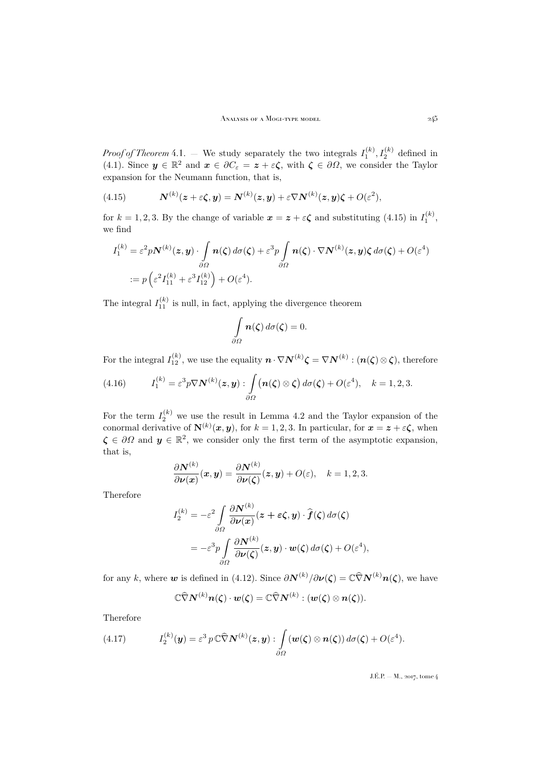*Proof of Theorem* [4.1.](#page-20-0) – We study separately the two integrals  $I_1^{(k)}$ ,  $I_2^{(k)}$  defined in [\(4.1\)](#page-19-4). Since  $y \in \mathbb{R}^2$  and  $x \in \partial C_{\varepsilon} = z + \varepsilon \zeta$ , with  $\zeta \in \partial \Omega$ , we consider the Taylor expansion for the Neumann function, that is,

<span id="page-23-0"></span>(4.15) 
$$
\mathbf{N}^{(k)}(z+\varepsilon\zeta,\mathbf{y})=\mathbf{N}^{(k)}(z,\mathbf{y})+\varepsilon\nabla\mathbf{N}^{(k)}(z,\mathbf{y})\zeta+O(\varepsilon^2),
$$

for  $k = 1, 2, 3$ . By the change of variable  $x = z + \varepsilon \zeta$  and substituting [\(4.15\)](#page-23-0) in  $I_1^{(k)}$ , we find

$$
I_1^{(k)} = \varepsilon^2 p \mathbf{N}^{(k)}(\mathbf{z}, \mathbf{y}) \cdot \int_{\partial \Omega} \mathbf{n}(\zeta) d\sigma(\zeta) + \varepsilon^3 p \int_{\partial \Omega} \mathbf{n}(\zeta) \cdot \nabla \mathbf{N}^{(k)}(\mathbf{z}, \mathbf{y}) \zeta d\sigma(\zeta) + O(\varepsilon^4)
$$
  
:=  $p \left( \varepsilon^2 I_{11}^{(k)} + \varepsilon^3 I_{12}^{(k)} \right) + O(\varepsilon^4).$ 

The integral  $I_{11}^{(k)}$  is null, in fact, applying the divergence theorem

$$
\int\limits_{\partial\Omega} \boldsymbol{n}(\boldsymbol{\zeta})\,d\sigma(\boldsymbol{\zeta})=0.
$$

For the integral  $I_{12}^{(k)}$ , we use the equality  $\boldsymbol{n} \cdot \nabla \boldsymbol{N}^{(k)} \boldsymbol{\zeta} = \nabla \boldsymbol{N}^{(k)} : (\boldsymbol{n}(\boldsymbol{\zeta}) \otimes \boldsymbol{\zeta})$ , therefore

<span id="page-23-1"></span>(4.16) 
$$
I_1^{(k)} = \varepsilon^3 p \nabla \mathbf{N}^{(k)}(\mathbf{z}, \mathbf{y}) : \int_{\partial \Omega} (\mathbf{n}(\zeta) \otimes \zeta) d\sigma(\zeta) + O(\varepsilon^4), \quad k = 1, 2, 3.
$$

For the term  $I_2^{(k)}$  we use the result in Lemma [4.2](#page-20-3) and the Taylor expansion of the conormal derivative of  $N^{(k)}(x, y)$ , for  $k = 1, 2, 3$ . In particular, for  $x = z + \varepsilon \zeta$ , when  $\zeta \in \partial\Omega$  and  $y \in \mathbb{R}^2$ , we consider only the first term of the asymptotic expansion, that is,

$$
\frac{\partial \boldsymbol{N}^{(k)}}{\partial \boldsymbol{\nu}(\boldsymbol{x})}(\boldsymbol{x}, \boldsymbol{y}) = \frac{\partial \boldsymbol{N}^{(k)}}{\partial \boldsymbol{\nu}(\boldsymbol{\zeta})}(\boldsymbol{z}, \boldsymbol{y}) + O(\varepsilon), \quad k = 1, 2, 3.
$$

Therefore

$$
I_2^{(k)} = -\varepsilon^2 \int \frac{\partial \mathbf{N}^{(k)}}{\partial \nu(\mathbf{x})} (\mathbf{z} + \boldsymbol{\varepsilon} \boldsymbol{\zeta}, \mathbf{y}) \cdot \hat{\boldsymbol{f}}(\boldsymbol{\zeta}) d\sigma(\boldsymbol{\zeta})
$$
  
= 
$$
-\varepsilon^3 p \int \frac{\partial \mathbf{N}^{(k)}}{\partial \nu(\boldsymbol{\zeta})} (\mathbf{z}, \mathbf{y}) \cdot \mathbf{w}(\boldsymbol{\zeta}) d\sigma(\boldsymbol{\zeta}) + O(\varepsilon^4),
$$

for any k, where **w** is defined in [\(4.12\)](#page-22-0). Since  $\partial N^{(k)}/\partial \nu(\zeta) = \mathbb{C}\hat{\nabla}N^{(k)}n(\zeta)$ , we have

<span id="page-23-2"></span>
$$
\mathbb{C}\widehat{\nabla}\mathbf{N}^{(k)}\mathbf{n}(\boldsymbol{\zeta})\cdot\mathbf{w}(\boldsymbol{\zeta})=\mathbb{C}\widehat{\nabla}\mathbf{N}^{(k)}:(\mathbf{w}(\boldsymbol{\zeta})\otimes\mathbf{n}(\boldsymbol{\zeta})).
$$

Therefore

(4.17) 
$$
I_2^{(k)}(\mathbf{y}) = \varepsilon^3 p \mathbb{C} \widehat{\nabla} \mathbf{N}^{(k)}(\mathbf{z}, \mathbf{y}) : \int \limits_{\partial \Omega} (\mathbf{w}(\boldsymbol{\zeta}) \otimes \mathbf{n}(\boldsymbol{\zeta})) d\sigma(\boldsymbol{\zeta}) + O(\varepsilon^4).
$$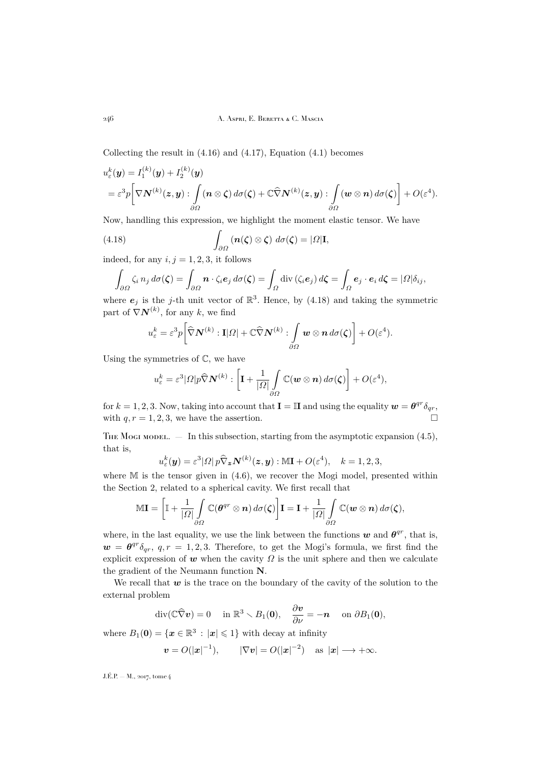Collecting the result in  $(4.16)$  and  $(4.17)$ , Equation  $(4.1)$  becomes

$$
u_{\varepsilon}^{k}(\boldsymbol{y}) = I_{1}^{(k)}(\boldsymbol{y}) + I_{2}^{(k)}(\boldsymbol{y})
$$
  
=  $\varepsilon^{3} p \bigg[ \nabla \mathbf{N}^{(k)}(\boldsymbol{z}, \boldsymbol{y}) : \int_{\partial \Omega} (\boldsymbol{n} \otimes \boldsymbol{\zeta}) d\sigma(\boldsymbol{\zeta}) + \mathbb{C} \widehat{\nabla} \mathbf{N}^{(k)}(\boldsymbol{z}, \boldsymbol{y}) : \int_{\partial \Omega} (\boldsymbol{w} \otimes \boldsymbol{n}) d\sigma(\boldsymbol{\zeta}) \bigg] + O(\varepsilon^{4}).$ 

Now, handling this expression, we highlight the moment elastic tensor. We have

(4.18) 
$$
\int_{\partial\Omega} (\mathbf{n}(\zeta) \otimes \zeta) \, d\sigma(\zeta) = |\Omega| \mathbf{I},
$$

indeed, for any  $i, j = 1, 2, 3$ , it follows

<span id="page-24-0"></span>
$$
\int_{\partial\Omega} \zeta_i n_j d\sigma(\zeta) = \int_{\partial\Omega} \mathbf{n} \cdot \zeta_i \mathbf{e}_j d\sigma(\zeta) = \int_{\Omega} \mathrm{div}(\zeta_i \mathbf{e}_j) d\zeta = \int_{\Omega} \mathbf{e}_j \cdot \mathbf{e}_i d\zeta = |\Omega| \delta_{ij},
$$

where  $e_j$  is the j-th unit vector of  $\mathbb{R}^3$ . Hence, by [\(4.18\)](#page-24-0) and taking the symmetric part of  $\nabla N^{(k)}$ , for any k, we find

$$
u_{\varepsilon}^{k} = \varepsilon^{3} p \bigg[ \widehat{\nabla} \mathbf{N}^{(k)} : \mathbf{I} | \Omega | + \mathbb{C} \widehat{\nabla} \mathbf{N}^{(k)} : \int_{\partial \Omega} \mathbf{w} \otimes \mathbf{n} \, d\sigma(\zeta) \bigg] + O(\varepsilon^{4}).
$$

Using the symmetries of  $\mathbb{C}$ , we have

$$
u_{\varepsilon}^k = \varepsilon^3 |\Omega| p \widehat{\nabla} \mathbf{N}^{(k)} : \left[ \mathbf{I} + \frac{1}{|\Omega|} \int\limits_{\partial \Omega} \mathbb{C}(\mathbf{w} \otimes \mathbf{n}) \, d\sigma(\zeta) \right] + O(\varepsilon^4),
$$

for  $k = 1, 2, 3$ . Now, taking into account that  $\mathbf{I} = \mathbb{I}$  and using the equality  $\mathbf{w} = \theta^{qr} \delta_{qr}$ , with  $q, r = 1, 2, 3$ , we have the assertion.

THE MOGI MODEL.  $-$  In this subsection, starting from the asymptotic expansion  $(4.5)$ , that is,

$$
u_{\varepsilon}^{k}(\boldsymbol{y}) = \varepsilon^{3} |\Omega| \, p \widehat{\nabla}_{\boldsymbol{z}} \boldsymbol{N}^{(k)}(\boldsymbol{z}, \boldsymbol{y}) : \mathbb{M} \mathbf{I} + O(\varepsilon^{4}), \quad k = 1, 2, 3,
$$

where  $M$  is the tensor given in  $(4.6)$ , we recover the Mogi model, presented within the Section [2,](#page-5-0) related to a spherical cavity. We first recall that

$$
\mathbb{M}\mathbf{I} = \left[\mathbb{I} + \frac{1}{|\Omega|} \int_{\partial \Omega} \mathbb{C}(\boldsymbol{\theta}^{qr} \otimes \boldsymbol{n}) d\sigma(\boldsymbol{\zeta})\right] \mathbf{I} = \mathbf{I} + \frac{1}{|\Omega|} \int_{\partial \Omega} \mathbb{C}(\boldsymbol{w} \otimes \boldsymbol{n}) d\sigma(\boldsymbol{\zeta}),
$$

where, in the last equality, we use the link between the functions  $w$  and  $\theta^{qr}$ , that is,  $\mathbf{w} = \theta^{qr} \delta_{qr}, q, r = 1, 2, 3$ . Therefore, to get the Mogi's formula, we first find the explicit expression of w when the cavity  $\Omega$  is the unit sphere and then we calculate the gradient of the Neumann function N.

We recall that  $w$  is the trace on the boundary of the cavity of the solution to the external problem

$$
\operatorname{div}(\mathbb{C}\widehat{\nabla} \boldsymbol{v}) = 0 \quad \text{ in } \mathbb{R}^3 \setminus B_1(\boldsymbol{0}), \quad \frac{\partial \boldsymbol{v}}{\partial \nu} = -\boldsymbol{n} \quad \text{ on } \partial B_1(\boldsymbol{0}),
$$

where  $B_1(0) = \{x \in \mathbb{R}^3 : |x| \leq 1\}$  with decay at infinity

$$
\mathbf{v} = O(|\mathbf{x}|^{-1}), \qquad |\nabla \mathbf{v}| = O(|\mathbf{x}|^{-2}) \quad \text{as } |\mathbf{x}| \longrightarrow +\infty.
$$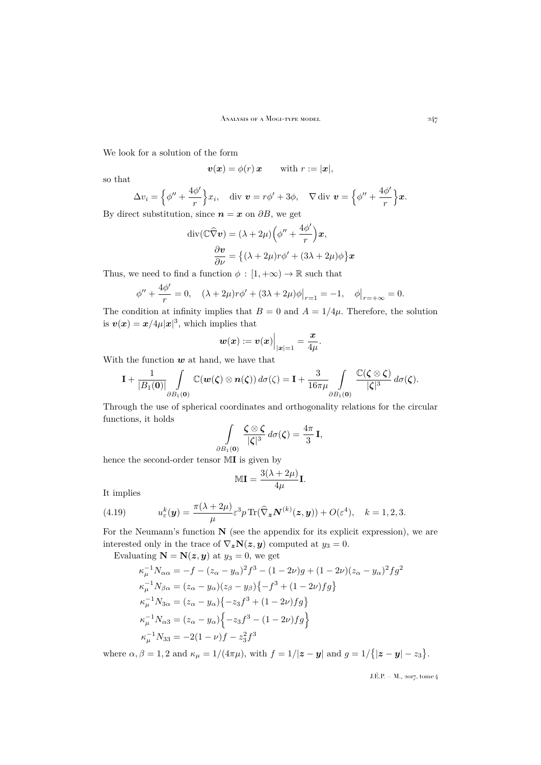We look for a solution of the form

$$
\boldsymbol{v}(\boldsymbol{x}) = \phi(r)\,\boldsymbol{x} \qquad \text{with } r := |\boldsymbol{x}|,
$$

so that

$$
\Delta v_i = \left\{ \phi'' + \frac{4\phi'}{r} \right\} x_i, \quad \text{div } \mathbf{v} = r\phi' + 3\phi, \quad \nabla \,\text{div } \mathbf{v} = \left\{ \phi'' + \frac{4\phi'}{r} \right\} \mathbf{x}.
$$

By direct substitution, since  $n = x$  on  $\partial B$ , we get

$$
\operatorname{div}(\mathbb{C}\widehat{\nabla}\boldsymbol{v}) = (\lambda + 2\mu) \left(\phi'' + \frac{4\phi'}{r}\right)\boldsymbol{x},
$$

$$
\frac{\partial \boldsymbol{v}}{\partial \nu} = \left\{(\lambda + 2\mu)r\phi' + (3\lambda + 2\mu)\phi\right\}\boldsymbol{x}
$$

Thus, we need to find a function  $\phi : [1, +\infty) \to \mathbb{R}$  such that

$$
\phi'' + \frac{4\phi'}{r} = 0, \quad (\lambda + 2\mu)r\phi' + (3\lambda + 2\mu)\phi\big|_{r=1} = -1, \quad \phi\big|_{r=+\infty} = 0.
$$

The condition at infinity implies that  $B = 0$  and  $A = 1/4\mu$ . Therefore, the solution is  $v(x) = x/4\mu |x|^3$ , which implies that

$$
\boldsymbol{w}(\boldsymbol{x}):=\boldsymbol{v}(\boldsymbol{x})\Big|_{|\boldsymbol{x}|=1}=\frac{\boldsymbol{x}}{4\mu}.
$$

With the function  $w$  at hand, we have that

$$
\mathbf{I}+\frac{1}{|B_1(\mathbf{0})|}\int\limits_{\partial B_1(\mathbf{0})}\mathbb{C}(\boldsymbol{w}(\boldsymbol{\zeta})\otimes\boldsymbol{n}(\boldsymbol{\zeta}))\,d\sigma(\boldsymbol{\zeta})=\mathbf{I}+\frac{3}{16\pi\mu}\int\limits_{\partial B_1(\mathbf{0})}\frac{\mathbb{C}(\boldsymbol{\zeta}\otimes\boldsymbol{\zeta})}{|\boldsymbol{\zeta}|^3}\,d\sigma(\boldsymbol{\zeta}).
$$

Through the use of spherical coordinates and orthogonality relations for the circular functions, it holds

$$
\int\limits_{\partial B_1(\mathbf{0})}\frac{\zeta\otimes\zeta}{|\zeta|^3}\,d\sigma(\zeta)=\frac{4\pi}{3}\,\mathbf{I},
$$

hence the second-order tensor MI is given by

$$
\mathbb{MI}=\frac{3(\lambda+2\mu)}{4\mu}\mathbf{I}.
$$

It implies

<span id="page-25-0"></span>(4.19) 
$$
u_{\varepsilon}^{k}(\boldsymbol{y}) = \frac{\pi(\lambda + 2\mu)}{\mu} \varepsilon^{3} p \operatorname{Tr}(\widehat{\nabla}_{\boldsymbol{z}} \boldsymbol{N}^{(k)}(\boldsymbol{z}, \boldsymbol{y})) + O(\varepsilon^{4}), \quad k = 1, 2, 3.
$$

For the Neumann's function  $N$  (see the appendix for its explicit expression), we are interested only in the trace of  $\nabla_z \mathbf{N}(z, y)$  computed at  $y_3 = 0$ .

Evaluating  $N = N(z, y)$  at  $y_3 = 0$ , we get

$$
\kappa_{\mu}^{-1} N_{\alpha\alpha} = -f - (z_{\alpha} - y_{\alpha})^2 f^3 - (1 - 2\nu)g + (1 - 2\nu)(z_{\alpha} - y_{\alpha})^2 fg^2
$$
  
\n
$$
\kappa_{\mu}^{-1} N_{\beta\alpha} = (z_{\alpha} - y_{\alpha})(z_{\beta} - y_{\beta}) \{-f^3 + (1 - 2\nu)fg\}
$$
  
\n
$$
\kappa_{\mu}^{-1} N_{3\alpha} = (z_{\alpha} - y_{\alpha}) \{-z_{3}f^3 + (1 - 2\nu)fg\}
$$
  
\n
$$
\kappa_{\mu}^{-1} N_{\alpha 3} = (z_{\alpha} - y_{\alpha}) \{-z_{3}f^3 - (1 - 2\nu)fg\}
$$
  
\n
$$
\kappa_{\mu}^{-1} N_{33} = -2(1 - \nu)f - z_{3}^{2}f^{3}
$$

where  $\alpha, \beta = 1, 2$  and  $\kappa_{\mu} = 1/(4\pi\mu)$ , with  $f = 1/|z - y|$  and  $g = 1/\{|z - y| - z_3\}$ .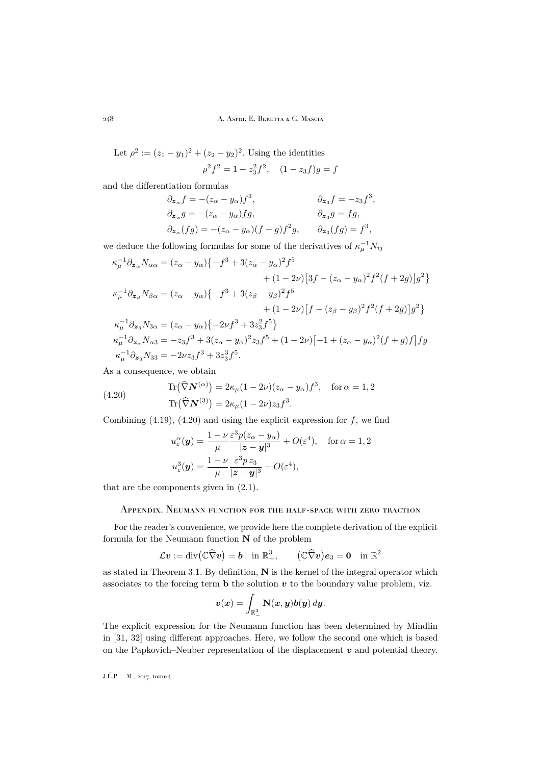Let  $\rho^2 := (z_1 - y_1)^2 + (z_2 - y_2)^2$ . Using the identities  $\rho^2 f^2 = 1 - z_3^2 f^2$ ,  $(1 - z_3 f)g = f$ 

and the differentiation formulas

$$
\begin{aligned} \partial_{\mathbf{z}_{\alpha}}f &= -(z_{\alpha} - y_{\alpha})f^3, & \partial_{\mathbf{z}_{3}}f &= -z_{3}f^3, \\ \partial_{\mathbf{z}_{\alpha}}g &= -(z_{\alpha} - y_{\alpha})fg, & \partial_{\mathbf{z}_{3}}g &= fg, \\ \partial_{\mathbf{z}_{\alpha}}(fg) &= -(z_{\alpha} - y_{\alpha})(f + g)f^2g, & \partial_{\mathbf{z}_{3}}(fg) &= f^3, \end{aligned}
$$

we deduce the following formulas for some of the derivatives of  $\kappa_{\mu}^{-1} N_{ij}$ 

$$
\kappa_{\mu}^{-1}\partial_{\mathbf{z}_{\alpha}}N_{\alpha\alpha} = (z_{\alpha} - y_{\alpha})\{-f^{3} + 3(z_{\alpha} - y_{\alpha})^{2}f^{5} + (1 - 2\nu)[3f - (z_{\alpha} - y_{\alpha})^{2}f^{2}(f + 2g)]g^{2}\}\
$$
  
\n
$$
\kappa_{\mu}^{-1}\partial_{\mathbf{z}_{\beta}}N_{\beta\alpha} = (z_{\alpha} - y_{\alpha})\{-f^{3} + 3(z_{\beta} - y_{\beta})^{2}f^{5} + (1 - 2\nu)[f - (z_{\beta} - y_{\beta})^{2}f^{2}(f + 2g)]g^{2}\}\
$$
  
\n
$$
\kappa_{\mu}^{-1}\partial_{\mathbf{z}_{3}}N_{3\alpha} = (z_{\alpha} - y_{\alpha})\{-2\nu f^{3} + 3z_{3}^{2}f^{5}\}\
$$
  
\n
$$
\kappa_{\mu}^{-1}\partial_{\mathbf{z}_{\alpha}}N_{\alpha3} = -z_{3}f^{3} + 3(z_{\alpha} - y_{\alpha})^{2}z_{3}f^{5} + (1 - 2\nu)[-1 + (z_{\alpha} - y_{\alpha})^{2}(f + g)f]fg
$$
  
\n
$$
\kappa_{\mu}^{-1}\partial_{\mathbf{z}_{3}}N_{33} = -2\nu z_{3}f^{3} + 3z_{3}^{3}f^{5}.
$$

As a consequence, we obtain

(4.20) 
$$
\text{Tr}(\widehat{\nabla}N^{(\alpha)}) = 2\kappa_{\mu}(1 - 2\nu)(z_{\alpha} - y_{\alpha})f^{3}, \text{ for } \alpha = 1, 2
$$

$$
\text{Tr}(\widehat{\nabla}N^{(3)}) = 2\kappa_{\mu}(1 - 2\nu)z_{3}f^{3}.
$$

Combining  $(4.19)$ ,  $(4.20)$  and using the explicit expression for f, we find

<span id="page-26-1"></span>
$$
u_{\varepsilon}^{\alpha}(\mathbf{y}) = \frac{1 - \nu \varepsilon^{3} p(z_{\alpha} - y_{\alpha})}{|\mathbf{z} - \mathbf{y}|^{3}} + O(\varepsilon^{4}), \quad \text{for } \alpha = 1, 2
$$
  

$$
u_{\varepsilon}^{3}(\mathbf{y}) = \frac{1 - \nu \varepsilon^{3} p z_{3}}{\mu} \frac{\varepsilon^{3} p z_{3}}{|\mathbf{z} - \mathbf{y}|^{3}} + O(\varepsilon^{4}),
$$

that are the components given in [\(2.1\)](#page-5-1).

### <span id="page-26-0"></span>Appendix. Neumann function for the half-space with zero traction

For the reader's convenience, we provide here the complete derivation of the explicit formula for the Neumann function  ${\bf N}$  of the problem

$$
\mathcal{L} \boldsymbol{v} := \mathrm{div}(\mathbb{C} \widehat{\nabla} \boldsymbol{v}) = \boldsymbol{b} \quad \text{in } \mathbb{R}^3_-, \qquad (\mathbb{C} \widehat{\nabla} \boldsymbol{v}) \boldsymbol{e}_3 = \boldsymbol{0} \quad \text{in } \mathbb{R}^2
$$

as stated in Theorem [3.1.](#page-10-1) By definition, N is the kernel of the integral operator which associates to the forcing term **b** the solution  $v$  to the boundary value problem, viz.

$$
\boldsymbol{v}(\boldsymbol{x}) = \int_{\mathbb{R}^3_-} \mathbf{N}(\boldsymbol{x},\boldsymbol{y}) \boldsymbol{b}(\boldsymbol{y}) \, d\boldsymbol{y}.
$$

The explicit expression for the Neumann function has been determined by Mindlin in [\[31,](#page-32-15) [32\]](#page-32-16) using different approaches. Here, we follow the second one which is based on the Papkovich–Neuber representation of the displacement  $\boldsymbol{v}$  and potential theory.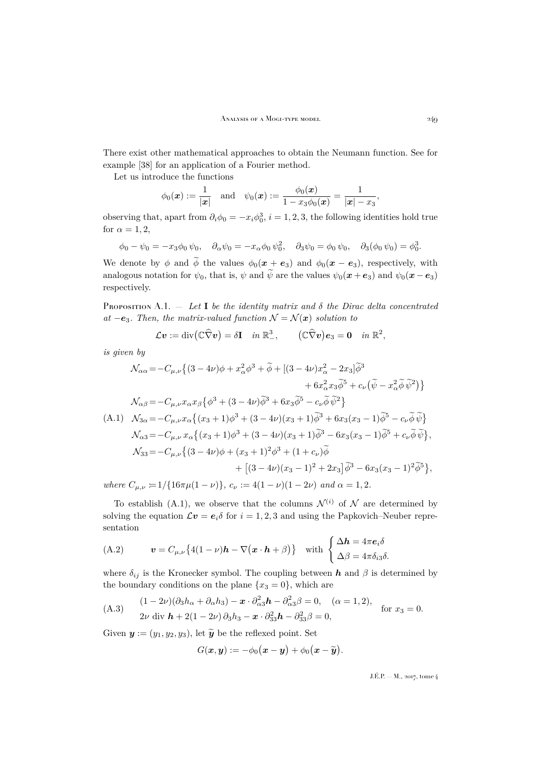There exist other mathematical approaches to obtain the Neumann function. See for example [\[38\]](#page-32-23) for an application of a Fourier method.

Let us introduce the functions

$$
\phi_0(\bm{x}) := \frac{1}{|\bm{x}|} \quad \text{and} \quad \psi_0(\bm{x}) := \frac{\phi_0(\bm{x})}{1 - x_3 \phi_0(\bm{x})} = \frac{1}{|\bm{x}| - x_3},
$$

observing that, apart from  $\partial_i \phi_0 = -x_i \phi_0^3$ ,  $i = 1, 2, 3$ , the following identities hold true for  $\alpha = 1, 2$ ,

 $\phi_0 - \psi_0 = -x_3\phi_0 \psi_0, \quad \partial_\alpha \psi_0 = -x_\alpha \phi_0 \psi_0^2, \quad \partial_3 \psi_0 = \phi_0 \psi_0, \quad \partial_3(\phi_0 \psi_0) = \phi_0^3.$ 

We denote by  $\phi$  and  $\widetilde{\phi}$  the values  $\phi_0(x + \epsilon_3)$  and  $\phi_0(x - \epsilon_3)$ , respectively, with analogous notation for  $\psi_0$ , that is,  $\psi$  and  $\widetilde{\psi}$  are the values  $\psi_0(x+\mathbf{e}_3)$  and  $\psi_0(x-\mathbf{e}_3)$ respectively.

<span id="page-27-1"></span>Proposition A.1.  $-$  Let I be the identity matrix and  $\delta$  the Dirac delta concentrated *at* −e<sub>3</sub>*. Then, the matrix-valued function*  $\mathcal{N} = \mathcal{N}(x)$  *solution to* 

$$
\mathcal{L} \boldsymbol{v} := \mathrm{div} \big( \mathbb{C} \widehat{\nabla} \boldsymbol{v} \big) = \delta \mathbf{I} \quad in \; \mathbb{R}^3_-, \qquad \big( \mathbb{C} \widehat{\nabla} \boldsymbol{v} \big) \boldsymbol{e}_3 = \mathbf{0} \quad in \; \mathbb{R}^2,
$$

*is given by*

<span id="page-27-0"></span>
$$
\mathcal{N}_{\alpha\alpha} = -C_{\mu,\nu} \left\{ (3 - 4\nu)\phi + x_{\alpha}^2 \phi^3 + \widetilde{\phi} + \left[ (3 - 4\nu)x_{\alpha}^2 - 2x_3 \right] \widetilde{\phi}^3 \right. \\ \left. + 6x_{\alpha}^2 x_3 \widetilde{\phi}^5 + c_{\nu} \left( \widetilde{\psi} - x_{\alpha}^2 \widetilde{\phi} \widetilde{\psi}^2 \right) \right\}
$$
\n
$$
\mathcal{N}_{\alpha\beta} = -C_{\mu,\nu} x_{\alpha} x_{\beta} \left\{ \phi^3 + (3 - 4\nu)\widetilde{\phi}^3 + 6x_3 \widetilde{\phi}^5 - c_{\nu} \widetilde{\phi} \widetilde{\psi}^2 \right\}
$$
\n(A.1) 
$$
\mathcal{N}_{3\alpha} = -C_{\mu,\nu} x_{\alpha} \left\{ (x_3 + 1)\phi^3 + (3 - 4\nu)(x_3 + 1)\widetilde{\phi}^3 + 6x_3(x_3 - 1)\widetilde{\phi}^5 - c_{\nu} \widetilde{\phi} \widetilde{\psi} \right\}
$$
\n
$$
\mathcal{N}_{\alpha 3} = -C_{\mu,\nu} x_{\alpha} \left\{ (x_3 + 1)\phi^3 + (3 - 4\nu)(x_3 + 1)\widetilde{\phi}^3 - 6x_3(x_3 - 1)\widetilde{\phi}^5 + c_{\nu} \widetilde{\phi} \widetilde{\psi} \right\},
$$
\n
$$
\mathcal{N}_{33} = -C_{\mu,\nu} \left\{ (3 - 4\nu)\phi + (x_3 + 1)^2 \phi^3 + (1 + c_{\nu})\widetilde{\phi} + \left[ (3 - 4\nu)(x_3 - 1)^2 + 2x_3 \right] \widetilde{\phi}^3 - 6x_3(x_3 - 1)^2 \widetilde{\phi}^5 \right\},
$$
\nwhere  $C_{\mu,\nu} = 1/\{16\pi\mu(1 - \nu)\}, c_{\nu} := 4(1 - \nu)(1 - 2\nu)$  and  $\alpha = 1, 2$ .

To establish [\(A.1\)](#page-27-0), we observe that the columns  $\mathcal{N}^{(i)}$  of  $\mathcal N$  are determined by solving the equation  $\mathcal{L}v = e_i\delta$  for  $i = 1, 2, 3$  and using the Papkovich–Neuber representation

<span id="page-27-2"></span>(A.2) 
$$
\mathbf{v} = C_{\mu,\nu} \{ 4(1-\nu)\mathbf{h} - \nabla (\mathbf{x} \cdot \mathbf{h} + \beta) \} \text{ with } \begin{cases} \Delta \mathbf{h} = 4\pi \mathbf{e}_i \delta \\ \Delta \beta = 4\pi \delta_{i3} \delta. \end{cases}
$$

where  $\delta_{ij}$  is the Kronecker symbol. The coupling between  $h$  and  $\beta$  is determined by the boundary conditions on the plane  $\{x_3 = 0\}$ , which are

<span id="page-27-3"></span>(A.3) 
$$
(1-2\nu)(\partial_3 h_\alpha + \partial_\alpha h_3) - \mathbf{x} \cdot \partial_{\alpha 3}^2 \mathbf{h} - \partial_{\alpha 3}^2 \beta = 0, \quad (\alpha = 1, 2),
$$
  
2\nu div  $\mathbf{h} + 2(1-2\nu)\partial_3 h_3 - \mathbf{x} \cdot \partial_{33}^2 \mathbf{h} - \partial_{33}^2 \beta = 0,$  for  $x_3 = 0.$ 

Given  $y := (y_1, y_2, y_3)$ , let  $\widetilde{y}$  be the reflexed point. Set

$$
G(\boldsymbol{x},\boldsymbol{y}):=-\phi_0(\boldsymbol{x}-\boldsymbol{y})+\phi_0(\boldsymbol{x}-\widetilde{\boldsymbol{y}}).
$$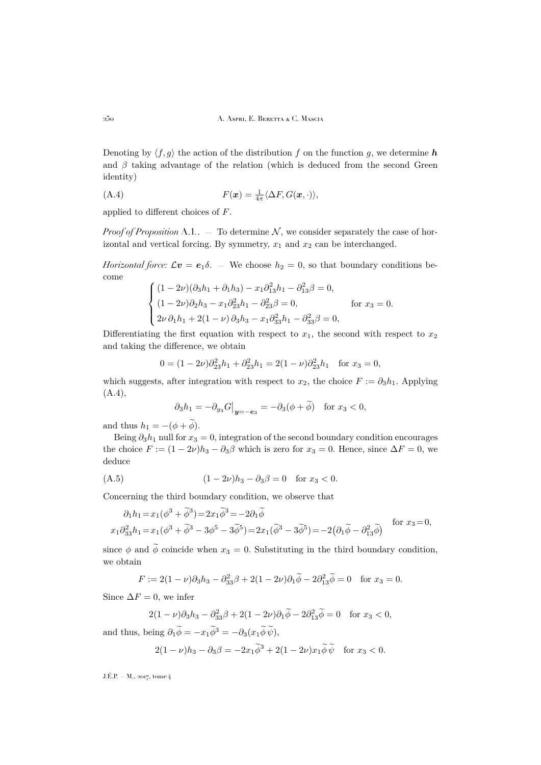Denoting by  $\langle f, g \rangle$  the action of the distribution f on the function g, we determine h and  $\beta$  taking advantage of the relation (which is deduced from the second Green identity)

<span id="page-28-0"></span>(A.4) 
$$
F(\boldsymbol{x}) = \frac{1}{4\pi} \langle \Delta F, G(\boldsymbol{x}, \cdot) \rangle,
$$

applied to different choices of F.

*Proof of Proposition* [A.1](#page-27-1). – To determine  $N$ , we consider separately the case of horizontal and vertical forcing. By symmetry,  $x_1$  and  $x_2$  can be interchanged.

*Horizontal force:*  $\mathcal{L}v = e_1\delta$ . — We choose  $h_2 = 0$ , so that boundary conditions become  $\sim$  $\overline{a}$ 

$$
\begin{cases}\n(1 - 2\nu)(\partial_3 h_1 + \partial_1 h_3) - x_1 \partial_{13}^2 h_1 - \partial_{13}^2 \beta = 0, \\
(1 - 2\nu)\partial_2 h_3 - x_1 \partial_{23}^2 h_1 - \partial_{23}^2 \beta = 0, \\
2\nu \partial_1 h_1 + 2(1 - \nu) \partial_3 h_3 - x_1 \partial_{33}^2 h_1 - \partial_{33}^2 \beta = 0,\n\end{cases}
$$
 for  $x_3 = 0$ .

Differentiating the first equation with respect to  $x_1$ , the second with respect to  $x_2$ and taking the difference, we obtain

$$
0 = (1 - 2\nu)\partial_{23}^2 h_1 + \partial_{23}^2 h_1 = 2(1 - \nu)\partial_{23}^2 h_1 \text{ for } x_3 = 0,
$$

which suggests, after integration with respect to  $x_2$ , the choice  $F := \partial_3 h_1$ . Applying  $(A.4),$  $(A.4),$ 

<span id="page-28-1"></span>
$$
\partial_3 h_1 = -\partial_{y_3} G \big|_{\mathbf{y} = -\mathbf{e}_3} = -\partial_3 (\phi + \widetilde{\phi}) \quad \text{for } x_3 < 0,
$$

and thus  $h_1 = -(\phi + \widetilde{\phi})$ .

Being  $\partial_3 h_1$  null for  $x_3 = 0$ , integration of the second boundary condition encourages the choice  $F := (1 - 2\nu)h_3 - \partial_3\beta$  which is zero for  $x_3 = 0$ . Hence, since  $\Delta F = 0$ , we deduce

(A.5) 
$$
(1 - 2\nu)h_3 - \partial_3\beta = 0 \text{ for } x_3 < 0.
$$

Concerning the third boundary condition, we observe that

$$
\partial_1 h_1 = x_1(\phi^3 + \tilde{\phi}^3) = 2x_1\tilde{\phi}^3 = -2\partial_1\tilde{\phi}
$$
  

$$
x_1\partial_{33}^2 h_1 = x_1(\phi^3 + \tilde{\phi}^3 - 3\phi^5 - 3\tilde{\phi}^5) = 2x_1(\tilde{\phi}^3 - 3\tilde{\phi}^5) = -2(\partial_1\tilde{\phi} - \partial_{13}^2\tilde{\phi})
$$
 for  $x_3 = 0$ ,

since  $\phi$  and  $\widetilde{\phi}$  coincide when  $x_3 = 0$ . Substituting in the third boundary condition, we obtain

$$
F := 2(1 - \nu)\partial_3 h_3 - \partial_{33}^2 \beta + 2(1 - 2\nu)\partial_1 \widetilde{\phi} - 2\partial_{13}^2 \widetilde{\phi} = 0 \quad \text{for } x_3 = 0.
$$

Since  $\Delta F = 0$ , we infer

$$
2(1-\nu)\partial_3 h_3 - \partial_{33}^2 \beta + 2(1-2\nu)\partial_1 \widetilde{\phi} - 2\partial_{13}^2 \widetilde{\phi} = 0 \quad \text{for } x_3 < 0,
$$

and thus, being  $\partial_1 \tilde{\phi} = -x_1 \tilde{\phi}^3 = -\partial_3(x_1 \tilde{\phi} \tilde{\psi}),$ 

$$
2(1 - \nu)h_3 - \partial_3\beta = -2x_1\tilde{\phi}^3 + 2(1 - 2\nu)x_1\tilde{\phi}\tilde{\psi} \quad \text{for } x_3 < 0.
$$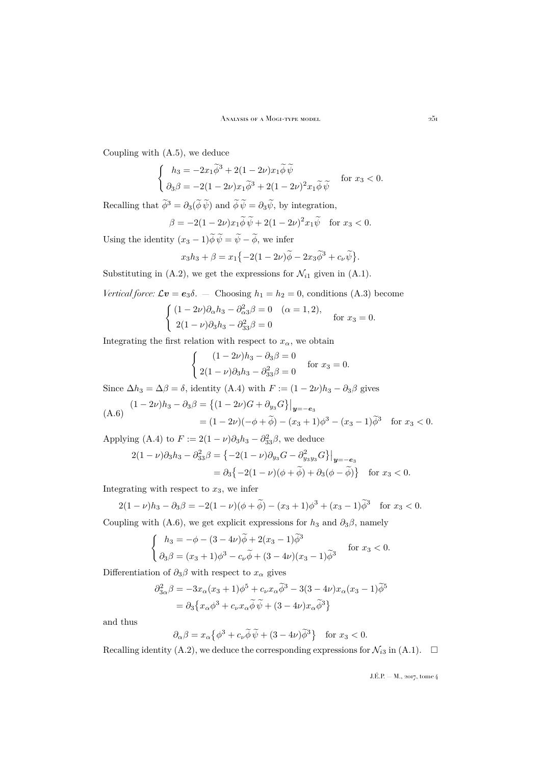Coupling with [\(A.5\)](#page-28-1), we deduce

$$
\begin{cases}\n h_3 = -2x_1\widetilde{\phi}^3 + 2(1 - 2\nu)x_1\widetilde{\phi}\,\widetilde{\psi} \\
 \partial_3\beta = -2(1 - 2\nu)x_1\widetilde{\phi}^3 + 2(1 - 2\nu)^2x_1\widetilde{\phi}\,\widetilde{\psi}\n \end{cases}\n \text{ for } x_3 < 0.
$$

Recalling that  $\tilde{\phi}^3 = \partial_3(\tilde{\phi}\,\tilde{\psi})$  and  $\tilde{\phi}\,\tilde{\psi} = \partial_3\tilde{\psi}$ , by integration,

$$
\beta = -2(1 - 2\nu)x_1\widetilde{\phi}\widetilde{\psi} + 2(1 - 2\nu)^2 x_1\widetilde{\psi} \quad \text{for } x_3 < 0.
$$

Using the identity  $(x_3 - 1)\phi \psi = \psi - \phi$ , we infer

$$
x_3h_3 + \beta = x_1\{-2(1-2\nu)\widetilde{\phi} - 2x_3\widetilde{\phi}^3 + c_\nu\widetilde{\psi}\}.
$$

Substituting in [\(A.2\)](#page-27-2), we get the expressions for  $\mathcal{N}_{i1}$  given in [\(A.1\)](#page-27-0).

*Vertical force:* 
$$
\mathcal{L}v = e_3\delta
$$
. - Choosing  $h_1 = h_2 = 0$ , conditions (A.3) become

$$
\begin{cases}\n(1 - 2\nu)\partial_{\alpha}h_3 - \partial_{\alpha}^2 \beta = 0 & (\alpha = 1, 2), \\
2(1 - \nu)\partial_3 h_3 - \partial_{33}^2 \beta = 0 & \text{for } x_3 = 0.\n\end{cases}
$$

Integrating the first relation with respect to  $x_{\alpha}$ , we obtain

$$
\begin{cases}\n(1 - 2\nu)h_3 - \partial_3 \beta = 0 \\
2(1 - \nu)\partial_3 h_3 - \partial_{33}^2 \beta = 0\n\end{cases}
$$
 for  $x_3 = 0$ .

Since  $\Delta h_3 = \Delta \beta = \delta$ , identity [\(A.4\)](#page-28-0) with  $F := (1 - 2\nu)h_3 - \partial_3 \beta$  gives

<span id="page-29-0"></span>
$$
(A.6) \quad (1-2\nu)h_3 - \partial_3 \beta = \left\{ (1-2\nu)G + \partial_{y_3} G \right\}\big|_{\mathbf{y}=-\mathbf{e}_3}
$$

$$
= (1-2\nu)(-\phi+\tilde{\phi}) - (x_3+1)\phi^3 - (x_3-1)\tilde{\phi}^3 \quad \text{for } x_3 < 0.
$$

Applying [\(A.4\)](#page-28-0) to  $F := 2(1 - \nu)\partial_3 h_3 - \partial_{33}^2 \beta$ , we deduce

$$
2(1 - \nu)\partial_3 h_3 - \partial_{33}^2 \beta = \{-2(1 - \nu)\partial_{y_3}G - \partial_{y_3y_3}^2 G\}\big|_{\mathbf{y} = -\mathbf{e}_3}
$$
  
=  $\partial_3 \{-2(1 - \nu)(\phi + \widetilde{\phi}) + \partial_3(\phi - \widetilde{\phi})\}$  for  $x_3 < 0$ .

Integrating with respect to  $x_3$ , we infer

$$
2(1 - \nu)h_3 - \partial_3 \beta = -2(1 - \nu)(\phi + \tilde{\phi}) - (x_3 + 1)\phi^3 + (x_3 - 1)\tilde{\phi}^3 \quad \text{for } x_3 < 0.
$$

Coupling with [\(A.6\)](#page-29-0), we get explicit expressions for  $h_3$  and  $\partial_3\beta$ , namely

$$
\begin{cases}\n h_3 = -\phi - (3 - 4\nu)\tilde{\phi} + 2(x_3 - 1)\tilde{\phi}^3 \\
 \partial_3 \beta = (x_3 + 1)\phi^3 - c_\nu \tilde{\phi} + (3 - 4\nu)(x_3 - 1)\tilde{\phi}^3\n \end{cases}\n \text{ for } x_3 < 0.
$$

Differentiation of  $\partial_3\beta$  with respect to  $x_\alpha$  gives

$$
\partial_{3\alpha}^2 \beta = -3x_{\alpha}(x_3 + 1)\phi^5 + c_{\nu}x_{\alpha}\tilde{\phi}^3 - 3(3 - 4\nu)x_{\alpha}(x_3 - 1)\tilde{\phi}^5
$$

$$
= \partial_3 \{x_{\alpha}\phi^3 + c_{\nu}x_{\alpha}\tilde{\phi}\tilde{\psi} + (3 - 4\nu)x_{\alpha}\tilde{\phi}^3\}
$$

and thus

$$
\partial_{\alpha}\beta = x_{\alpha} \{ \phi^3 + c_{\nu} \widetilde{\phi} \widetilde{\psi} + (3 - 4\nu) \widetilde{\phi}^3 \} \quad \text{for } x_3 < 0.
$$

Recalling identity [\(A.2\)](#page-27-2), we deduce the corresponding expressions for  $\mathcal{N}_{i3}$  in [\(A.1\)](#page-27-0).  $\Box$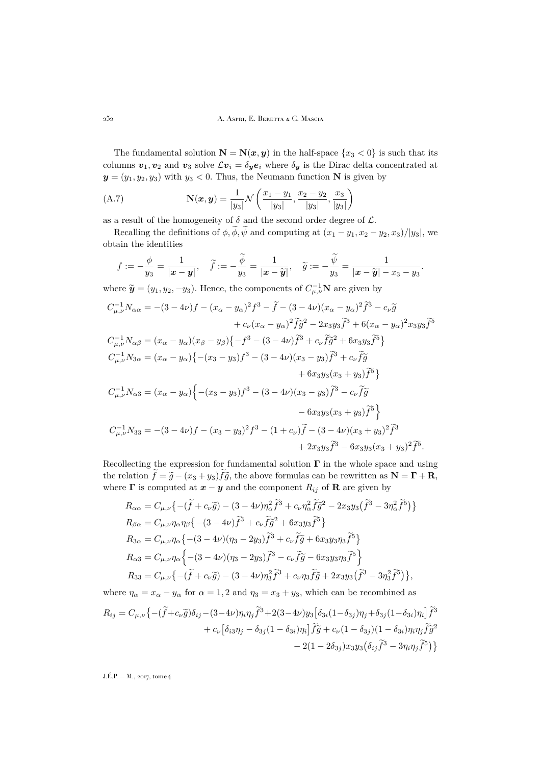The fundamental solution  $N = N(x, y)$  in the half-space  $\{x_3 < 0\}$  is such that its columns  $v_1, v_2$  and  $v_3$  solve  $\mathcal{L}v_i = \delta_y e_i$  where  $\delta_y$  is the Dirac delta concentrated at  $y = (y_1, y_2, y_3)$  with  $y_3 < 0$ . Thus, the Neumann function N is given by

(A.7) 
$$
\mathbf{N}(\mathbf{x}, \mathbf{y}) = \frac{1}{|y_3|} \mathcal{N}\left(\frac{x_1 - y_1}{|y_3|}, \frac{x_2 - y_2}{|y_3|}, \frac{x_3}{|y_3|}\right)
$$

as a result of the homogeneity of  $\delta$  and the second order degree of  $\mathcal{L}$ .

Recalling the definitions of  $\phi$ ,  $\widetilde{\phi}$ ,  $\widetilde{\psi}$  and computing at  $(x_1 - y_1, x_2 - y_2, x_3)/|y_3|$ , we obtain the identities

$$
f := -\frac{\phi}{y_3} = \frac{1}{|\mathbf{x} - \mathbf{y}|}, \quad \widetilde{f} := -\frac{\widetilde{\phi}}{y_3} = \frac{1}{|\mathbf{x} - \widetilde{\mathbf{y}}|}, \quad \widetilde{g} := -\frac{\widetilde{\psi}}{y_3} = \frac{1}{|\mathbf{x} - \widetilde{\mathbf{y}}| - x_3 - y_3}.
$$

where  $\widetilde{\mathbf{y}} = (y_1, y_2, -y_3)$ . Hence, the components of  $C_{\mu,\nu}^{-1} \mathbf{N}$  are given by

$$
C_{\mu,\nu}^{-1}N_{\alpha\alpha} = -(3-4\nu)f - (x_{\alpha} - y_{\alpha})^2f^3 - \tilde{f} - (3-4\nu)(x_{\alpha} - y_{\alpha})^2\tilde{f}^3 - c_{\nu}\tilde{g}
$$
  
+  $c_{\nu}(x_{\alpha} - y_{\alpha})^2\tilde{f}\tilde{g}^2 - 2x_3y_3\tilde{f}^3 + 6(x_{\alpha} - y_{\alpha})^2x_3y_3\tilde{f}^5$   

$$
C_{\mu,\nu}^{-1}N_{\alpha\beta} = (x_{\alpha} - y_{\alpha})(x_{\beta} - y_{\beta})\{-f^3 - (3-4\nu)\tilde{f}^3 + c_{\nu}\tilde{f}\tilde{g}^2 + 6x_3y_3\tilde{f}^5\}
$$
  

$$
C_{\mu,\nu}^{-1}N_{3\alpha} = (x_{\alpha} - y_{\alpha})\{-(x_{3} - y_{3})f^3 - (3-4\nu)(x_{3} - y_{3})\tilde{f}^3 + c_{\nu}\tilde{f}\tilde{g} + 6x_3y_3(x_{3} + y_{3})\tilde{f}^5\}
$$
  

$$
C_{\mu,\nu}^{-1}N_{\alpha 3} = (x_{\alpha} - y_{\alpha})\{-(x_{3} - y_{3})f^3 - (3-4\nu)(x_{3} - y_{3})\tilde{f}^3 - c_{\nu}\tilde{f}\tilde{g} - 6x_3y_3(x_{3} + y_{3})\tilde{f}^5\}
$$
  

$$
C_{\mu,\nu}^{-1}N_{33} = -(3-4\nu)f - (x_{3} - y_{3})^2f^3 - (1+c_{\nu})\tilde{f} - (3-4\nu)(x_{3} + y_{3})^2\tilde{f}^3 + 2x_3y_3\tilde{f}^3 - 6x_3y_3(x_{3} + y_{3})^2\tilde{f}^5.
$$

Recollecting the expression for fundamental solution  $\Gamma$  in the whole space and using the relation  $\tilde{f} = \tilde{g} - (x_3 + y_3) \tilde{f} \tilde{g}$ , the above formulas can be rewritten as  $N = \Gamma + R$ , where  $\Gamma$  is computed at  $x - y$  and the component  $R_{ij}$  of **R** are given by

$$
R_{\alpha\alpha} = C_{\mu,\nu} \left\{ -(\tilde{f} + c_{\nu}\tilde{g}) - (3 - 4\nu)\eta_{\alpha}^{2}\tilde{f}^{3} + c_{\nu}\eta_{\alpha}^{2}\tilde{f}\tilde{g}^{2} - 2x_{3}y_{3}(\tilde{f}^{3} - 3\eta_{\alpha}^{2}\tilde{f}^{5}) \right\}
$$
  
\n
$$
R_{\beta\alpha} = C_{\mu,\nu}\eta_{\alpha}\eta_{\beta} \left\{ -(3 - 4\nu)\tilde{f}^{3} + c_{\nu}\tilde{f}\tilde{g}^{2} + 6x_{3}y_{3}\tilde{f}^{5} \right\}
$$
  
\n
$$
R_{3\alpha} = C_{\mu,\nu}\eta_{\alpha} \left\{ -(3 - 4\nu)(\eta_{3} - 2y_{3})\tilde{f}^{3} + c_{\nu}\tilde{f}\tilde{g} + 6x_{3}y_{3}\eta_{3}\tilde{f}^{5} \right\}
$$
  
\n
$$
R_{\alpha3} = C_{\mu,\nu}\eta_{\alpha} \left\{ -(3 - 4\nu)(\eta_{3} - 2y_{3})\tilde{f}^{3} - c_{\nu}\tilde{f}\tilde{g} - 6x_{3}y_{3}\eta_{3}\tilde{f}^{5} \right\}
$$
  
\n
$$
R_{33} = C_{\mu,\nu} \left\{ -( \tilde{f} + c_{\nu}\tilde{g}) - (3 - 4\nu)\eta_{3}^{2}\tilde{f}^{3} + c_{\nu}\eta_{3}\tilde{f}\tilde{g} + 2x_{3}y_{3}(\tilde{f}^{3} - 3\eta_{3}^{2}\tilde{f}^{5}) \right\},
$$

where  $\eta_{\alpha} = x_{\alpha} - y_{\alpha}$  for  $\alpha = 1, 2$  and  $\eta_3 = x_3 + y_3$ , which can be recombined as

$$
R_{ij} = C_{\mu,\nu} \left\{ -(\widetilde{f} + c_{\nu}\widetilde{g})\delta_{ij} - (3 - 4\nu)\eta_i \eta_j \widetilde{f}^3 + 2(3 - 4\nu)y_3 \left[ \delta_{3i}(1 - \delta_{3j})\eta_j + \delta_{3j}(1 - \delta_{3i})\eta_i \right] \widetilde{f}^3 \right. \\ \left. + c_{\nu} \left[ \delta_{i3}\eta_j - \delta_{3j}(1 - \delta_{3i})\eta_i \right] \widetilde{f}\widetilde{g} + c_{\nu}(1 - \delta_{3j})(1 - \delta_{3i})\eta_i \eta_j \widetilde{f}\widetilde{g}^2 \right. \\ \left. - 2(1 - 2\delta_{3j})x_3y_3\left( \delta_{ij}\widetilde{f}^3 - 3\eta_i \eta_j \widetilde{f}^5 \right) \right\}
$$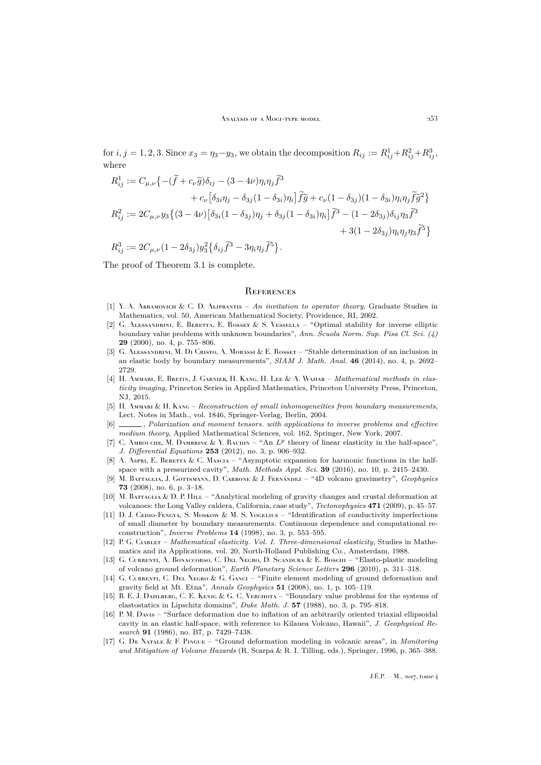for  $i, j = 1, 2, 3$ . Since  $x_3 = \eta_3 - y_3$ , we obtain the decomposition  $R_{ij} := R_{ij}^1 + R_{ij}^2 + R_{ij}^3$ where

$$
R_{ij}^1 := C_{\mu,\nu} \left\{ -(\tilde{f} + c_{\nu}\tilde{g})\delta_{ij} - (3 - 4\nu)\eta_i \eta_j \tilde{f}^3 \right.+ c_{\nu} \left[ \delta_{3i} \eta_j - \delta_{3j} (1 - \delta_{3i}) \eta_i \right] \tilde{f}\tilde{g} + c_{\nu} (1 - \delta_{3j}) (1 - \delta_{3i}) \eta_i \eta_j \tilde{f}\tilde{g}^2 \right\}R_{ij}^2 := 2C_{\mu,\nu} y_3 \left\{ (3 - 4\nu) \left[ \delta_{3i} (1 - \delta_{3j}) \eta_j + \delta_{3j} (1 - \delta_{3i}) \eta_i \right] \tilde{f}^3 - (1 - 2\delta_{3j}) \delta_{ij} \eta_3 \tilde{f}^3 \right. + 3(1 - 2\delta_{3j}) \eta_i \eta_j \eta_3 \tilde{f}^5 \right\}R_{ij}^3 := 2C_{\mu,\nu} (1 - 2\delta_{3j}) y_3^2 \left\{ \delta_{ij} \tilde{f}^3 - 3\eta_i \eta_j \tilde{f}^5 \right\}.
$$

The proof of Theorem [3.1](#page-10-1) is complete.

### <span id="page-31-0"></span>**REFERENCES**

- <span id="page-31-17"></span>[1] Y. A. Abramovich & C. D. Aliprantis – *An invitation to operator theory*, Graduate Studies in Mathematics, vol. 50, American Mathematical Society, Providence, RI, 2002.
- <span id="page-31-8"></span>[2] G. Alessandrini, E. Beretta, E. Rosset & S. Vessella – "Optimal stability for inverse elliptic boundary value problems with unknown boundaries", *Ann. Scuola Norm. Sup. Pisa Cl. Sci. (4)* **29** (2000), no. 4, p. 755–806.
- <span id="page-31-9"></span>[3] G. Alessandrini, M. Di Cristo, A. Morassi & E. Rosset – "Stable determination of an inclusion in an elastic body by boundary measurements", *SIAM J. Math. Anal.* **46** (2014), no. 4, p. 2692– 2729.
- <span id="page-31-2"></span>[4] H. Ammari, E. Bretin, J. Garnier, H. Kang, H. Lee & A. Wahab – *Mathematical methods in elasticity imaging*, Princeton Series in Applied Mathematics, Princeton University Press, Princeton, NJ, 2015.
- <span id="page-31-3"></span>[5] H. Ammari & H. Kang – *Reconstruction of small inhomogeneities from boundary measurements*, Lect. Notes in Math., vol. 1846, Springer-Verlag, Berlin, 2004.
- <span id="page-31-4"></span>[6] , *Polarization and moment tensors. with applications to inverse problems and effective medium theory*, Applied Mathematical Sciences, vol. 162, Springer, New York, 2007.
- <span id="page-31-6"></span>[7] C. AMROUCHE, M. DAMBRINE & Y. RAUDIN – "An  $L^p$  theory of linear elasticity in the half-space", *J. Differential Equations* **253** (2012), no. 3, p. 906–932.
- <span id="page-31-5"></span>[8] A. Aspri, E. BERETTA & C. MASCIA – "Asymptotic expansion for harmonic functions in the halfspace with a pressurized cavity", *Math. Methods Appl. Sci.* **39** (2016), no. 10, p. 2415–2430.
- <span id="page-31-13"></span>[9] M. Battaglia, J. Gottsmann, D. Carbone & J. Fernández – "4D volcano gravimetry", *Geophysics* **73** (2008), no. 6, p. 3–18.
- <span id="page-31-10"></span>[10] M. BATTAGLIA & D. P. HILL – "Analytical modeling of gravity changes and crustal deformation at volcanoes: the Long Valley caldera, California, case study", *Tectonophysics* **471** (2009), p. 45–57.
- <span id="page-31-7"></span>[11] D. J. CEDIO-FENGYA, S. MOSKOW & M. S. VOGELIUS – "Identification of conductivity imperfections of small diameter by boundary measurements. Continuous dependence and computational reconstruction", *Inverse Problems* **14** (1998), no. 3, p. 553–595.
- <span id="page-31-16"></span>[12] P. G. Ciarlet – *Mathematical elasticity. Vol. I. Three-dimensional elasticity*, Studies in Mathematics and its Applications, vol. 20, North-Holland Publishing Co., Amsterdam, 1988.
- <span id="page-31-14"></span>[13] G. Currenti, A. Bonaccorso, C. Del Negro, D. Scandura & E. Boschi – "Elasto-plastic modeling of volcano ground deformation", *Earth Planetary Science Letters* **296** (2010), p. 311–318.
- <span id="page-31-12"></span>[14] G. CURRENTI, C. DEL NEGRO & G. GANCI – "Finite element modeling of ground deformation and gravity field at Mt. Etna", *Annals Geophysics* **51** (2008), no. 1, p. 105–119.
- <span id="page-31-15"></span>[15] B. E. J. DAHLBERG, C. E. KENIG & G. C. VERCHOTA – "Boundary value problems for the systems of elastostatics in Lipschitz domains", *Duke Math. J.* **57** (1988), no. 3, p. 795–818.
- <span id="page-31-1"></span>[16] P. M. Davis – "Surface deformation due to inflation of an arbitrarily oriented triaxial ellipsoidal cavity in an elastic half-space, with reference to Kilauea Volcano, Hawaii", *J. Geophysical Research* **91** (1986), no. B7, p. 7429–7438.
- <span id="page-31-11"></span>[17] G. De Natale & F. Pingue – "Ground deformation modeling in volcanic areas", in *Monitoring and Mitigation of Volcano Hazards* (R. Scarpa & R. I. Tilling, eds.), Springer, 1996, p. 365–388.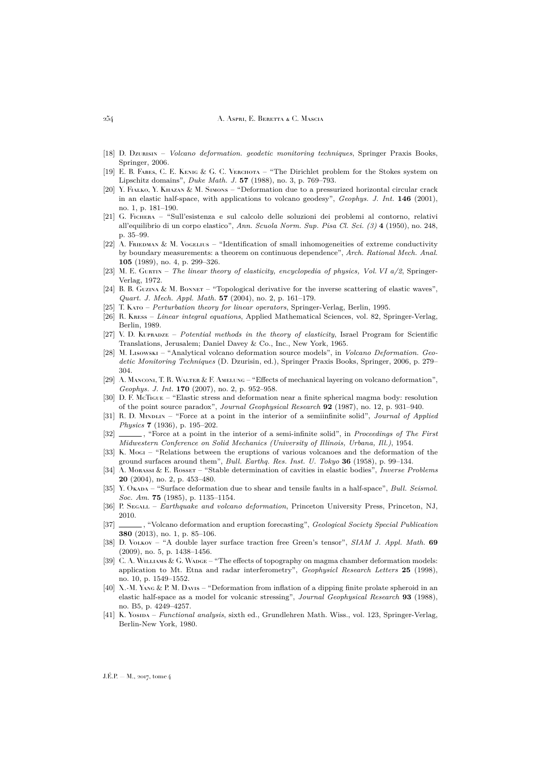#### 254 A. Aspri, E. Beretta & C. Mascia

- <span id="page-32-5"></span>[18] D. Dzurisin – *Volcano deformation. geodetic monitoring techniques*, Springer Praxis Books, Springer, 2006.
- <span id="page-32-18"></span>[19] E. B. Fabes, C. E. Kenig & G. C. Verchota – "The Dirichlet problem for the Stokes system on Lipschitz domains", *Duke Math. J.* **57** (1988), no. 3, p. 769–793.
- <span id="page-32-11"></span>[20] Y. FIALKO, Y. KHAZAN & M. SIMONS – "Deformation due to a pressurized horizontal circular crack in an elastic half-space, with applications to volcano geodesy", *Geophys. J. Int.* **146** (2001), no. 1, p. 181–190.
- <span id="page-32-19"></span>[21] G. Fichera – "Sull'esistenza e sul calcolo delle soluzioni dei problemi al contorno, relativi all'equilibrio di un corpo elastico", *Ann. Scuola Norm. Sup. Pisa Cl. Sci. (3)* **4** (1950), no. 248, p. 35–99.
- <span id="page-32-2"></span>[22] A. FRIEDMAN & M. VOGELIUS – "Identification of small inhomogeneities of extreme conductivity by boundary measurements: a theorem on continuous dependence", *Arch. Rational Mech. Anal.* **105** (1989), no. 4, p. 299–326.
- <span id="page-32-14"></span>[23] M. E. Gurtin – *The linear theory of elasticity, encyclopedia of physics, Vol. VI a/2*, Springer-Verlag, 1972.
- <span id="page-32-4"></span>[24] B. B. GUZINA & M. BONNET – "Topological derivative for the inverse scattering of elastic waves", *Quart. J. Mech. Appl. Math.* **57** (2004), no. 2, p. 161–179.
- <span id="page-32-20"></span>[25] T. Kato – *Perturbation theory for linear operators*, Springer-Verlag, Berlin, 1995.
- <span id="page-32-22"></span>[26] R. Kress – *Linear integral equations*, Applied Mathematical Sciences, vol. 82, Springer-Verlag, Berlin, 1989.
- <span id="page-32-17"></span>[27] V. D. Kupradze – *Potential methods in the theory of elasticity*, Israel Program for Scientific Translations, Jerusalem; Daniel Davey & Co., Inc., New York, 1965.
- <span id="page-32-7"></span>[28] M. Lisowski – "Analytical volcano deformation source models", in *Volcano Deformation. Geodetic Monitoring Techniques* (D. Dzurisin, ed.), Springer Praxis Books, Springer, 2006, p. 279– 304.
- <span id="page-32-12"></span>[29] A. MANCONI, T. R. WALTER & F. AMELUNG – "Effects of mechanical layering on volcano deformation", *Geophys. J. Int.* **170** (2007), no. 2, p. 952–958.
- <span id="page-32-1"></span>[30] D. F. McTigue – "Elastic stress and deformation near a finite spherical magma body: resolution of the point source paradox", *Journal Geophysical Research* **92** (1987), no. 12, p. 931–940.
- <span id="page-32-15"></span>[31] R. D. Mindlin – "Force at a point in the interior of a semiinfinite solid", *Journal of Applied Physics* **7** (1936), p. 195–202.
- <span id="page-32-16"></span>[32]  $\_\_\_\_\$ , "Force at a point in the interior of a semi-infinite solid", in *Proceedings of The First Midwestern Conference on Solid Mechanics (University of Illinois, Urbana, Ill.)*, 1954.
- <span id="page-32-0"></span>[33] K. Mogi – "Relations between the eruptions of various volcanoes and the deformation of the ground surfaces around them", *Bull. Earthq. Res. Inst. U. Tokyo* **36** (1958), p. 99–134.
- <span id="page-32-3"></span>[34] A. Morassi & E. Rosset – "Stable determination of cavities in elastic bodies", *Inverse Problems* **20** (2004), no. 2, p. 453–480.
- <span id="page-32-10"></span>[35] Y. Okapa – "Surface deformation due to shear and tensile faults in a half-space", *Bull. Seismol. Soc. Am.* **75** (1985), p. 1135–1154.
- <span id="page-32-8"></span>[36] P. Segall – *Earthquake and volcano deformation*, Princeton University Press, Princeton, NJ, 2010.
- <span id="page-32-6"></span>[37] , "Volcano deformation and eruption forecasting", *Geological Society Special Publication* **380** (2013), no. 1, p. 85–106.
- <span id="page-32-23"></span>[38] D. Volkov – "A double layer surface traction free Green's tensor", *SIAM J. Appl. Math.* **69** (2009), no. 5, p. 1438–1456.
- <span id="page-32-13"></span>[39] C. A. WILLIAMS & G. WADGE – "The effects of topography on magma chamber deformation models: application to Mt. Etna and radar interferometry", *Geophysicl Research Letters* **25** (1998), no. 10, p. 1549–1552.
- <span id="page-32-9"></span>[40] X.-M. Yang & P. M. Davis – "Deformation from inflation of a dipping finite prolate spheroid in an elastic half-space as a model for volcanic stressing", *Journal Geophysical Research* **93** (1988), no. B5, p. 4249–4257.
- <span id="page-32-21"></span>[41] K. Yosida – *Functional analysis*, sixth ed., Grundlehren Math. Wiss., vol. 123, Springer-Verlag, Berlin-New York, 1980.

 $J.E.P. = M$ , 2017, tome 4